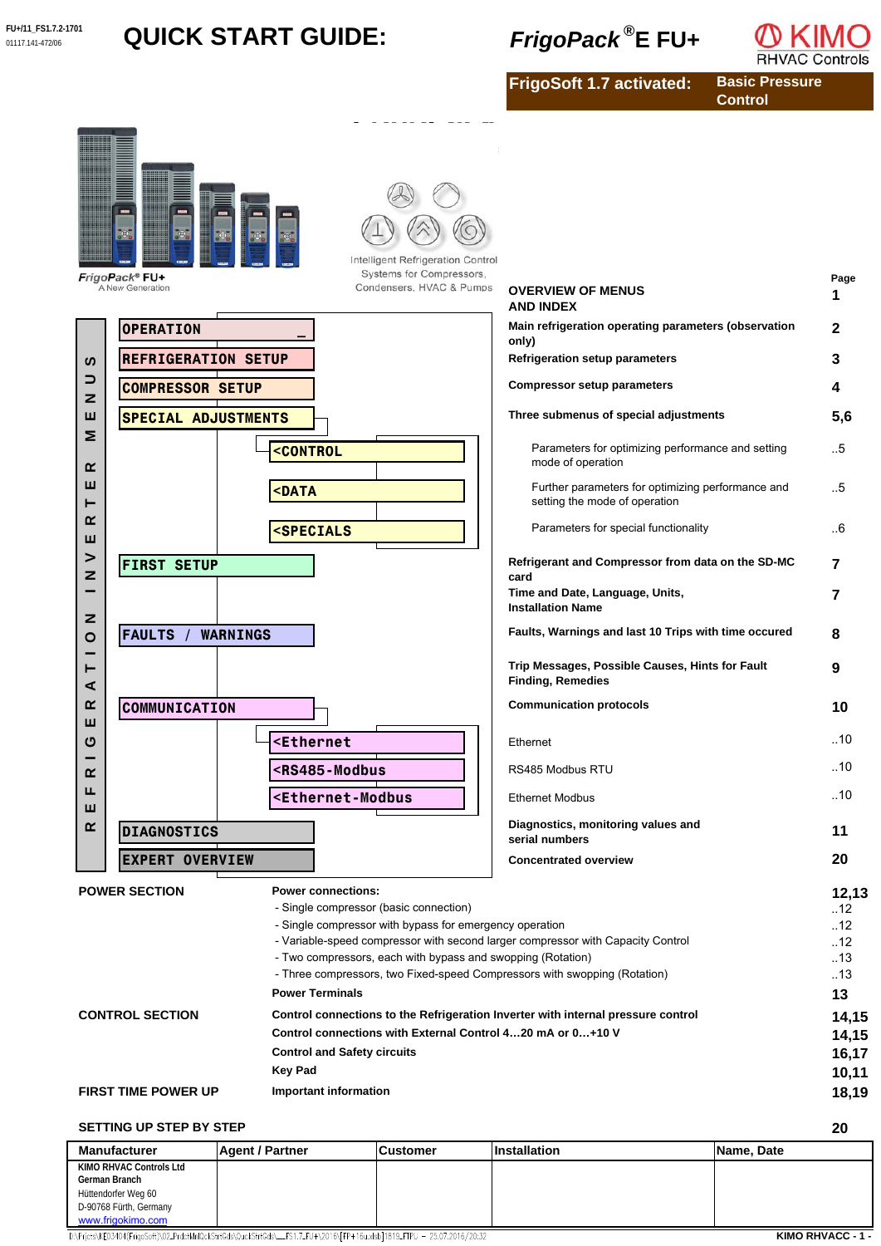# **FU+/11\_FS1.7.2-1701 QUICK START GUIDE:** *FrigoPack*  $^{\circledR}$  E FU+



**FrigoSoft 1.7 activated:**

**Basic Pressure Control**



## **SETTING UP STEP BY STEP**

| <b>Manufacturer</b>     | <b>Agent / Partner</b> | <b>Customer</b> | <b>Installation</b> | Name, Date |
|-------------------------|------------------------|-----------------|---------------------|------------|
| KIMO RHVAC Controls Ltd |                        |                 |                     |            |
| German Branch           |                        |                 |                     |            |
| Hüttendorfer Weg 60     |                        |                 |                     |            |
| D-90768 Fürth, Germany  |                        |                 |                     |            |
| www.frigokimo.com       |                        |                 |                     |            |

D:\Prjcts\KE03404(FrigoSoft)\02\_PrdctMnlQckStrtGds\QuckStrtGds\\_FS1.7\_FU+\2016\[FP+16u.xlsb]1819\_FTPU - 25.07.2016/20:32

**KIMO RHVACC - 1 -**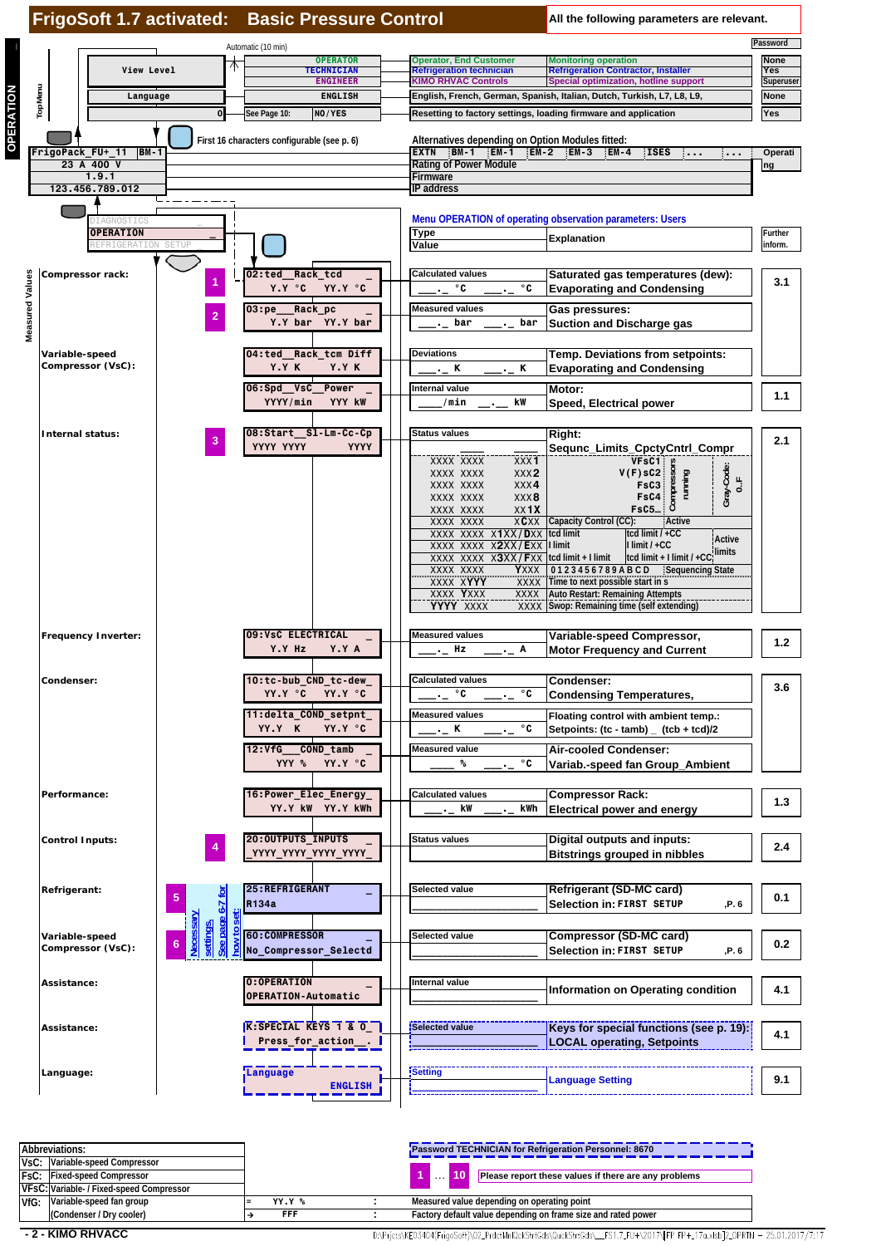

| Abbreviations: |                                          |  |               | Password TECHNICIAN for Refrigeration Personnel: 8670         |
|----------------|------------------------------------------|--|---------------|---------------------------------------------------------------|
|                | VsC: Variable-speed Compressor           |  |               |                                                               |
|                | <b>FsC: Fixed-speed Compressor</b>       |  |               | Please report these values if there are any problems          |
|                | VFsC: Variable- / Fixed-speed Compressor |  |               |                                                               |
| VfG:           | Variable-speed fan group                 |  | <b>YY.Y %</b> | Measured value depending on operating point                   |
|                | (Condenser / Dry cooler)                 |  | FFF           | Factory default value depending on frame size and rated power |

 **- 2 - KIMO RHVACC**

D:\Pricts\KE03404(FrigoSoft)\02\_PrdctMnlQckStrtGds\QuckStrtGds\\_\_FS1.7\_FU+\2017\FPFP+\_17a.xlsb]2\_OPRTN - 25.01.2017/7:17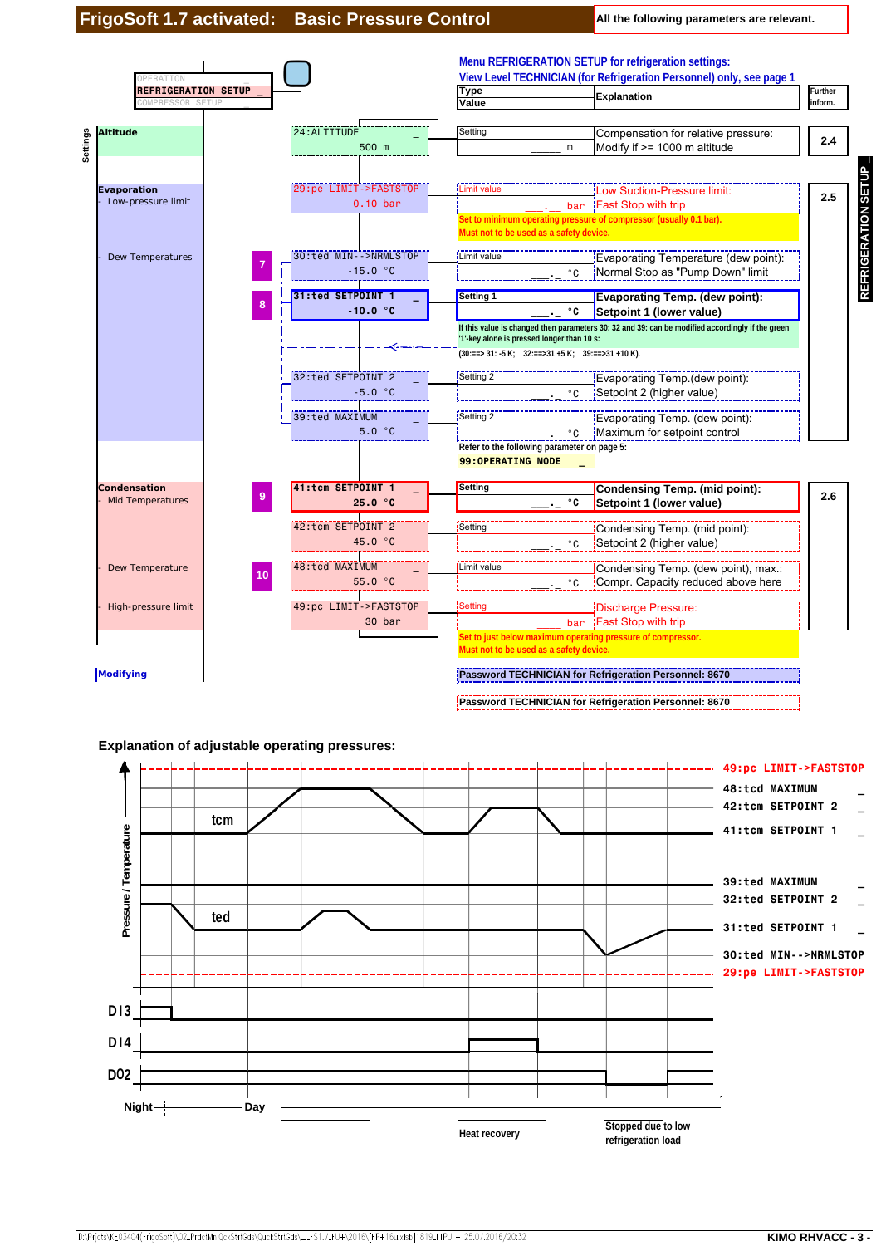

**Heat recovery Stopped due to low**<br>**Heat recovery** 

**refrigeration load**

D:\Prjcts\KE03404(FrigoSoft)\02\_PrdctMnlQckStrtGds\QuckStrtGds\\_\_FS1.7\_FU+\2016\[FP+16u.xlsb]1819\_FTPU - 25.07.2016/20:32

**Day**

**Night**

**DO2**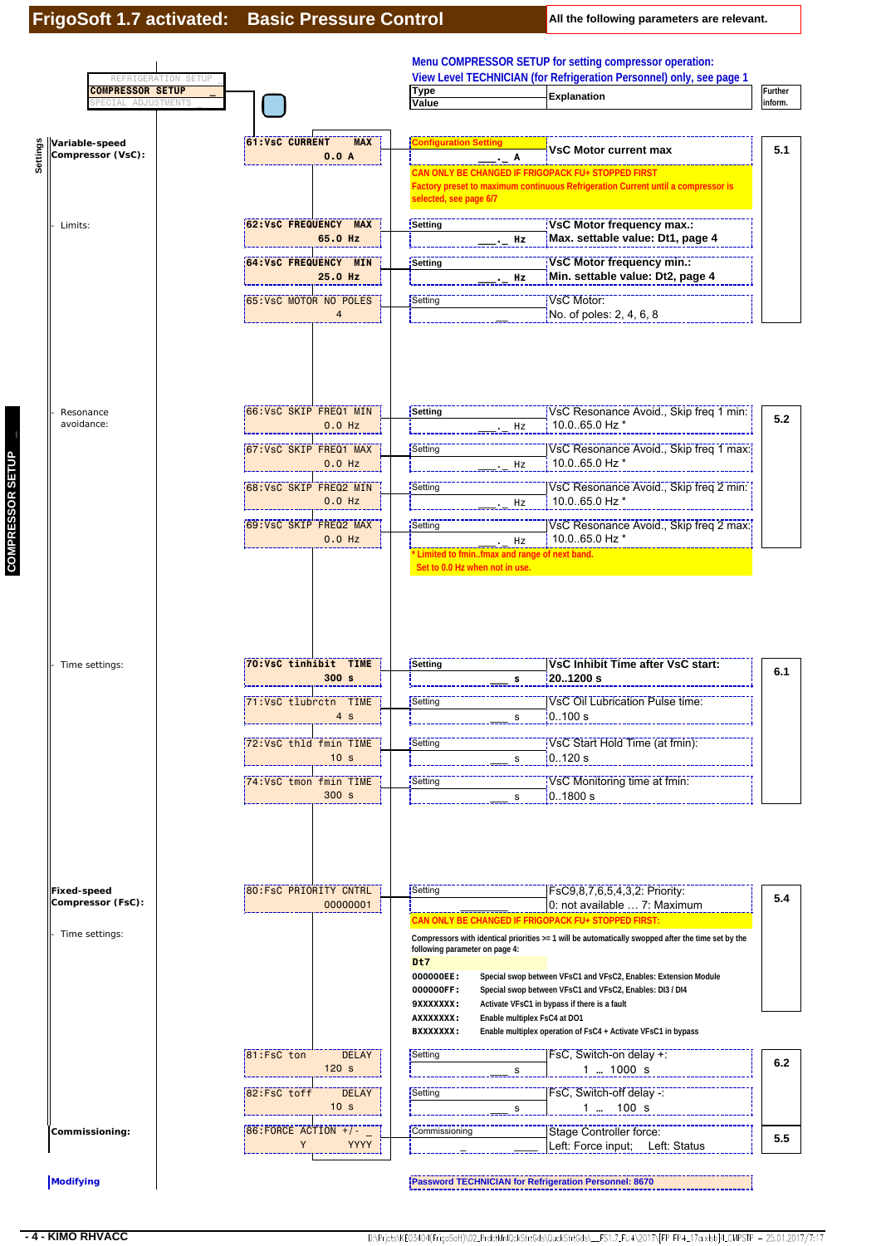| REFRIGERATION SETUP<br><b>COMPRESSOR SETUP</b> |                                                        | <b>Type</b>                                              | View Level TECHNICIAN (for Refrigeration Personnel) only, see page 1                                                                                      | Further |
|------------------------------------------------|--------------------------------------------------------|----------------------------------------------------------|-----------------------------------------------------------------------------------------------------------------------------------------------------------|---------|
| ADJUSTMENTS<br>PECIAL                          |                                                        | Value                                                    | Explanation                                                                                                                                               | nform.  |
|                                                |                                                        |                                                          |                                                                                                                                                           |         |
| Variable-speed<br>Compressor (VsC):            | <b>61:VsC CURRENT</b><br><b>MAX</b><br>0.0A            | <b>Configuration Setting</b><br>Α                        | <b>VsC Motor current max</b>                                                                                                                              | 5.1     |
|                                                |                                                        | selected, see page 6/7                                   | CAN ONLY BE CHANGED IF FRIGOPACK FU+ STOPPED FIRST<br>Factory preset to maximum continuous Refrigeration Current until a compressor is                    |         |
| Limits:                                        | 62: VsC FREQUENCY MAX<br>65.0 Hz                       | Setting                                                  | VsC Motor frequency max.:<br>Max. settable value: Dt1, page 4<br>Hz                                                                                       |         |
|                                                | <b>64:VsC FREQUENCY MIN</b><br>25.0 Hz                 | Setting                                                  | VsC Motor frequency min.:<br>Min. settable value: Dt2, page 4<br>Hz                                                                                       |         |
|                                                | 65:VsC MOTOR NO POLES<br>$\overline{4}$                | Setting                                                  | VsC Motor:<br>No. of poles: 2, 4, 6, 8                                                                                                                    |         |
|                                                |                                                        |                                                          |                                                                                                                                                           |         |
| Resonance<br>avoidance:                        | 66: VsC SKIP FREQ1 MIN<br>$0.0$ Hz                     | Setting                                                  | VsC Resonance Avoid., Skip freq 1 min:<br>10.0.65.0 Hz *<br>Hz                                                                                            | 5.2     |
|                                                | 67:VsC SKIP FREQ1 MAX<br>$0.0$ Hz                      | Setting                                                  | VsC Resonance Avoid., Skip freq 1 max:<br>10.0.65.0 Hz *<br>Hz                                                                                            |         |
|                                                | 68: VsC SKIP FREQ2 MIN<br>$0.0$ Hz                     | Setting                                                  | VsC Resonance Avoid., Skip freq 2 min:<br>10.0.65.0 Hz *<br>Hz                                                                                            |         |
|                                                | 69: VsC SKIP FREQ2 MAX<br>$0.0$ Hz                     | Setting<br>* Limited to fminfmax and range of next band. | VsC Resonance Avoid., Skip freq 2 max:<br>10.0.65.0 Hz *<br>Hz                                                                                            |         |
|                                                |                                                        |                                                          |                                                                                                                                                           |         |
|                                                |                                                        |                                                          |                                                                                                                                                           |         |
| Time settings:                                 | 70: VsC tinhibit TIME<br>300s                          | Setting<br>s                                             | VsC Inhibit Time after VsC start:<br>201200 s                                                                                                             | 6.1     |
|                                                | 71:VsC tlubrctn TIME<br>4 <sub>s</sub>                 | Setting<br>s                                             | <b>VsC Oil Lubrication Pulse time:</b><br>0.100 s                                                                                                         |         |
|                                                | 72: VsC thld fmin TIME<br>10 <sub>s</sub>              | Setting<br>s                                             | VsC Start Hold Time (at fmin):<br>0120 s                                                                                                                  |         |
|                                                | 74:VsC tmon fmin TIME<br>300 s                         | Setting<br>s                                             | VsC Monitoring time at fmin:<br>0.1800 s                                                                                                                  |         |
|                                                |                                                        |                                                          |                                                                                                                                                           |         |
| <b>Fixed-speed</b><br>Compressor (FsC):        | 80:FsC PRIORITY CNTRL  <br>00000001                    | Setting                                                  | FsC9.8.7.6.5.4.3.2: Priority:<br>0: not available  7: Maximum                                                                                             |         |
| Time settings:                                 |                                                        | following parameter on page 4:<br>D <sub>t7</sub>        | CAN ONLY BE CHANGED IF FRIGOPACK FU+ STOPPED FIRST:<br>Compressors with identical priorities >= 1 will be automatically swopped after the time set by the |         |
|                                                |                                                        | 000000EE:                                                | Special swop between VFsC1 and VFsC2, Enables: Extension Module                                                                                           | 5.4     |
|                                                |                                                        | 000000FF:<br>9XXXXXXX:<br>AXXXXXXX:                      | Special swop between VFsC1 and VFsC2, Enables: DI3 / DI4<br>Activate VFsC1 in bypass if there is a fault<br>Enable multiplex FsC4 at DO1                  |         |
|                                                | 81:FsC ton<br><b>DELAY</b>                             | <b>BXXXXXXX:</b><br>Setting                              | Enable multiplex operation of FsC4 + Activate VFsC1 in bypass<br>FsC, Switch-on delay +:                                                                  | 6.2     |
|                                                | 120s<br>82:FsC toff<br><b>DELAY</b><br>10 <sub>s</sub> | s<br>Setting<br>s                                        | $1$ 1000 s<br>FsC, Switch-off delay -:<br>$1 \dots 100 s$                                                                                                 |         |

**COMPRESSOR SETUP \_**

COMPRESSOR SETUP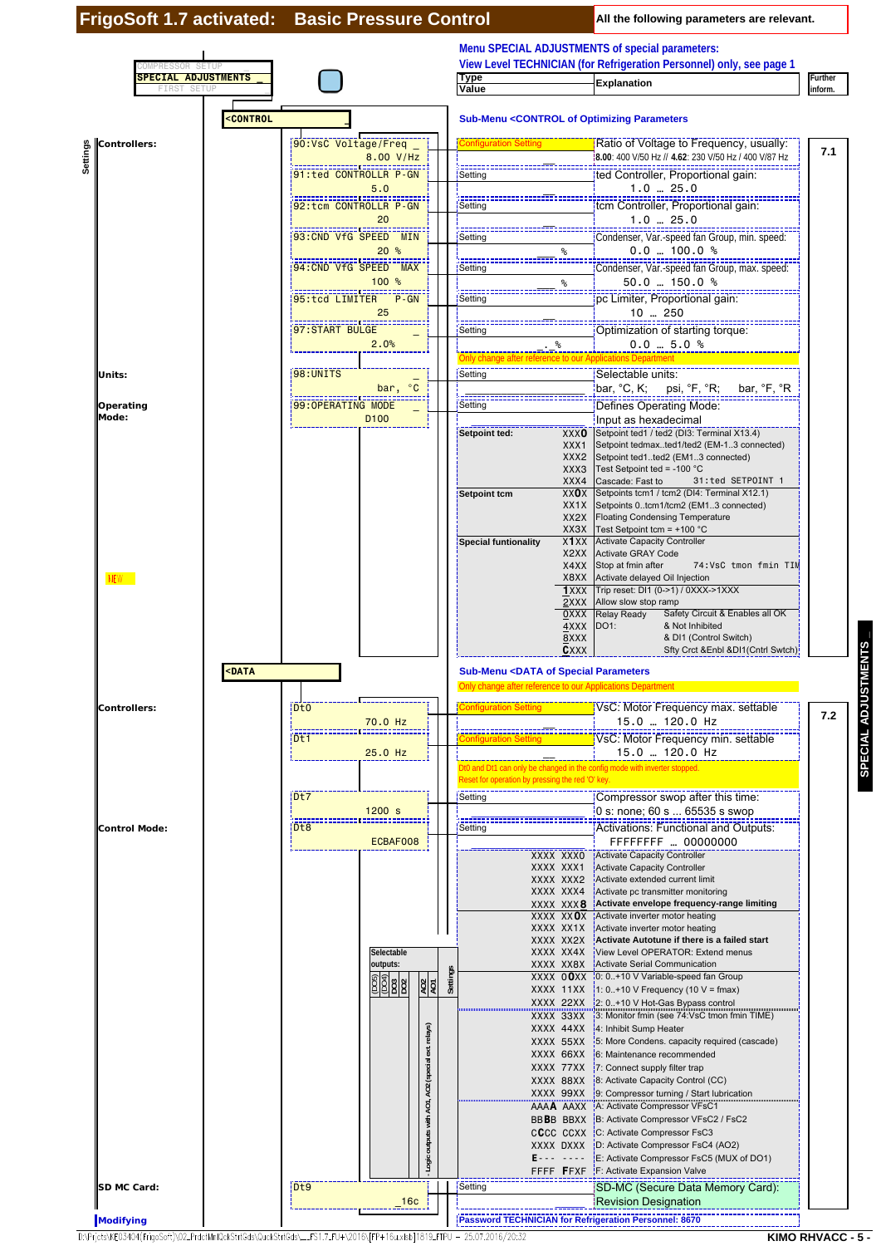|                                     |                                   |                                                                                                                           |                                                     |                                                                                                                                   |                                         | Menu SPECIAL ADJUSTMENTS of special parameters:<br>View Level TECHNICIAN (for Refrigeration Personnel) only, see page 1 |                           |
|-------------------------------------|-----------------------------------|---------------------------------------------------------------------------------------------------------------------------|-----------------------------------------------------|-----------------------------------------------------------------------------------------------------------------------------------|-----------------------------------------|-------------------------------------------------------------------------------------------------------------------------|---------------------------|
| MPRESSOR SETU<br><b>FIRST SETUP</b> | <b>SPECIAL ADJUSTMENTS</b>        |                                                                                                                           |                                                     | <b>Type</b><br>Value                                                                                                              |                                         | <b>Explanation</b>                                                                                                      | <b>Further</b><br>inform. |
|                                     | <b><control< b=""></control<></b> |                                                                                                                           |                                                     |                                                                                                                                   |                                         | <b>Sub-Menu <control b="" of="" optimizing="" parameters<=""></control></b>                                             |                           |
| Controllers:                        |                                   | 00:VsC Voltage/Freq _                                                                                                     |                                                     | <b>Configuration Setting</b>                                                                                                      |                                         | Ratio of Voltage to Frequency, usually:                                                                                 | 7.1                       |
| Settings                            |                                   | 8.00 V/Hz<br>91:ted CONTROLLR P-GN                                                                                        |                                                     |                                                                                                                                   |                                         | 8.00: 400 V/50 Hz // 4.62: 230 V/50 Hz / 400 V/87 Hz                                                                    |                           |
|                                     |                                   | 5.0                                                                                                                       |                                                     | Setting                                                                                                                           |                                         | ted Controller, Proportional gain:<br>$1.0 - 25.0$                                                                      |                           |
|                                     |                                   |                                                                                                                           |                                                     | Setting                                                                                                                           |                                         | tem Controller, Proportional gain:                                                                                      |                           |
|                                     |                                   | 20<br>93:CND VfG SPEED MIN                                                                                                |                                                     | Setting                                                                                                                           |                                         | $1.0 - 25.0$                                                                                                            |                           |
|                                     |                                   | 20%                                                                                                                       |                                                     |                                                                                                                                   | ℅                                       | $0.0$ 100.0 %                                                                                                           |                           |
|                                     |                                   | 94:CND VfG SPEED MAX<br>100%                                                                                              |                                                     | Setting                                                                                                                           |                                         | Condenser, Var.-speed fan Group, max. speed:<br>$50.0$ 150.0 %                                                          |                           |
|                                     |                                   | 95:tcd LIMITER P-GN                                                                                                       |                                                     | Setting                                                                                                                           | ℅                                       | pc Limiter, Proportional gain:                                                                                          |                           |
|                                     |                                   | 25<br>57: START BULGE                                                                                                     |                                                     |                                                                                                                                   |                                         | 10  250                                                                                                                 |                           |
|                                     |                                   | 2.0%                                                                                                                      |                                                     | Setting                                                                                                                           | $\%$                                    | Optimization of starting torque:<br>$0.0 - 5.0$ %                                                                       |                           |
|                                     |                                   |                                                                                                                           |                                                     | Only change after reference to our Applications Department                                                                        |                                         |                                                                                                                         |                           |
| Units:                              |                                   | <b>98: UNITS</b><br>bar, °C                                                                                               |                                                     | Setting                                                                                                                           |                                         | Selectable units:<br>bar, °C, K;  psi, °F, °R;<br>bar, °F, °R                                                           |                           |
| Operating                           |                                   | 99: OPERATING MODE                                                                                                        |                                                     | Setting                                                                                                                           |                                         | Defines Operating Mode:                                                                                                 |                           |
| Mode:                               |                                   | D <sub>100</sub>                                                                                                          |                                                     | Setpoint ted:                                                                                                                     | <b>XXXO</b>                             | Input as hexadecimal<br>Setpoint ted1 / ted2 (DI3: Terminal X13.4)                                                      |                           |
|                                     |                                   |                                                                                                                           |                                                     |                                                                                                                                   | XXX1<br>XXX2                            | Setpoint tedmaxted1/ted2 (EM-13 connected)<br>Setpoint ted1ted2 (EM13 connected)                                        |                           |
|                                     |                                   |                                                                                                                           |                                                     |                                                                                                                                   | XXX3<br>XXX4                            | Test Setpoint ted = -100 °C<br>Cascade: Fast to<br>31:ted SETPOINT 1                                                    |                           |
|                                     |                                   |                                                                                                                           |                                                     | Setpoint tcm                                                                                                                      | XXOX                                    | Setpoints tcm1 / tcm2 (DI4: Terminal X12.1)                                                                             |                           |
|                                     |                                   |                                                                                                                           |                                                     |                                                                                                                                   |                                         | XX1X Setpoints 0tcm1/tcm2 (EM13 connected)<br>XX2X Floating Condensing Temperature                                      |                           |
|                                     |                                   |                                                                                                                           |                                                     | Special funtionality                                                                                                              | XX3X<br>X1XX                            | Test Setpoint tcm = $+100$ °C<br><b>Activate Capacity Controller</b>                                                    |                           |
|                                     |                                   |                                                                                                                           |                                                     |                                                                                                                                   | X2XX<br>X4XX                            | Activate GRAY Code<br>Stop at fmin after<br>74:VsC tmon fmin TIM                                                        |                           |
| <b>NEW</b>                          |                                   |                                                                                                                           |                                                     |                                                                                                                                   | X8XX                                    | Activate delayed Oil Injection<br>1XXX Trip reset: DI1 (0->1) / 0XXX->1XXX                                              |                           |
|                                     |                                   |                                                                                                                           |                                                     |                                                                                                                                   | 2XXX<br><u>O</u> XXX                    | Allow slow stop ramp<br>Safety Circuit & Enables all OK<br>Relay Ready                                                  |                           |
|                                     |                                   |                                                                                                                           |                                                     |                                                                                                                                   |                                         | 4XXX DO1:<br>& Not Inhibited                                                                                            |                           |
|                                     |                                   |                                                                                                                           |                                                     |                                                                                                                                   | 8XXX<br><b>CXXX</b>                     | & DI1 (Control Switch)<br>Sfty Crct & Enbl & DI1(Cntrl Swtch):                                                          |                           |
|                                     | <b>SDATA</b>                      |                                                                                                                           |                                                     | <b>Sub-Menu <data b="" of="" parameters<="" special=""><br/>Only change after reference to our Applications Department</data></b> |                                         |                                                                                                                         |                           |
| Controllers:                        |                                   | Dt0                                                                                                                       |                                                     | <b>Configuration Setting</b>                                                                                                      |                                         | VsC: Motor Frequency max. settable                                                                                      |                           |
|                                     |                                   | 70.0 Hz                                                                                                                   |                                                     |                                                                                                                                   |                                         | 15.0  120.0 Hz                                                                                                          | 7.2                       |
|                                     |                                   | Dt1<br>$25.0$ Hz                                                                                                          |                                                     |                                                                                                                                   |                                         | VsC: Motor Frequency min. settable<br>15.0  120.0 Hz                                                                    |                           |
|                                     |                                   |                                                                                                                           |                                                     | Reset for operation by pressing the red 'O' key.                                                                                  |                                         | Dt0 and Dt1 can only be changed in the config mode with inverter stopped.                                               |                           |
|                                     |                                   | $I$ Dt7                                                                                                                   |                                                     | Setting                                                                                                                           |                                         | Compressor swop after this time:                                                                                        |                           |
|                                     |                                   | $1200$ s                                                                                                                  |                                                     |                                                                                                                                   |                                         | 0 s: none; 60 s  65535 s swop                                                                                           |                           |
| <b>Control Mode:</b>                |                                   | D <sub>t8</sub><br>ECBAF008                                                                                               |                                                     | Setting                                                                                                                           |                                         | Activations: Functional and Outputs:<br>FFFFFFFF  00000000                                                              |                           |
|                                     |                                   |                                                                                                                           |                                                     |                                                                                                                                   | XXXX XXXO<br>XXXX XXX1                  | Activate Capacity Controller<br>Activate Capacity Controller                                                            |                           |
|                                     |                                   |                                                                                                                           |                                                     |                                                                                                                                   | XXXX XXX2<br>XXXX XXX4                  | Activate extended current limit<br>Activate pc transmitter monitoring                                                   |                           |
|                                     |                                   |                                                                                                                           |                                                     |                                                                                                                                   | XXXX XXX <b>8</b><br>XXXX XX <b>O</b> X | Activate envelope frequency-range limiting<br>Activate inverter motor heating                                           |                           |
|                                     |                                   |                                                                                                                           |                                                     |                                                                                                                                   | XXXX XX1X                               | Activate inverter motor heating<br>Activate Autotune if there is a failed start                                         |                           |
|                                     |                                   | Selectable                                                                                                                |                                                     |                                                                                                                                   | XXXX XX2X<br>XXXX XX4X                  | View Level OPERATOR: Extend menus                                                                                       |                           |
|                                     |                                   | outputs:                                                                                                                  | Settings                                            |                                                                                                                                   | XXXX XX8X                               | Activate Serial Communication<br>XXXX 00XX 10: 0+10 V Variable-speed fan Group                                          |                           |
|                                     |                                   |                                                                                                                           | $\frac{AO2}{AO1}$                                   |                                                                                                                                   | XXXX 11XX                               | $1: 0.+10 \vee$ Frequency (10 V = fmax)<br>XXXX 22XX 2: 0+10 V Hot-Gas Bypass control                                   |                           |
|                                     |                                   |                                                                                                                           |                                                     |                                                                                                                                   |                                         | XXXX 33XX 3: Monitor fmin (see 74:VsC tmon fmin TIME)                                                                   |                           |
|                                     |                                   |                                                                                                                           |                                                     |                                                                                                                                   | XXXX 44XX                               | 4: Inhibit Sump Heater<br>XXXX 55XX 5: More Condens. capacity required (cascade)                                        |                           |
|                                     |                                   |                                                                                                                           |                                                     |                                                                                                                                   | XXXX 66XX                               | 6: Maintenance recommended<br>XXXX 77XX 7. Connect supply filter trap                                                   |                           |
|                                     |                                   |                                                                                                                           |                                                     |                                                                                                                                   | XXXX 88XX                               | 8: Activate Capacity Control (CC)<br>XXXX 99XX 99: Compressor turning / Start lubrication                               |                           |
|                                     |                                   |                                                                                                                           | - Logic outputs with AO1, AO2 (special ext. relays) |                                                                                                                                   |                                         | AAAA AAXX A: Activate Compressor VFsC1                                                                                  |                           |
|                                     |                                   |                                                                                                                           |                                                     |                                                                                                                                   |                                         | BBBB BBXX B: Activate Compressor VFsC2 / FsC2<br>CCCC CCXX C: Activate Compressor FsC3                                  |                           |
|                                     |                                   |                                                                                                                           |                                                     |                                                                                                                                   | Ever some                               | XXXX DXXX <b>D</b> : Activate Compressor FsC4 (AO2)<br>E: Activate Compressor FsC5 (MUX of DO1)                         |                           |
|                                     |                                   | D <sub>t9</sub>                                                                                                           |                                                     | Setting                                                                                                                           | FFFF FFXF                               | F: Activate Expansion Valve<br>SD-MC (Secure Data Memory Card):                                                         |                           |
| SD MC Card:                         |                                   | 16 <sub>c</sub>                                                                                                           |                                                     |                                                                                                                                   |                                         | <b>Revision Designation</b>                                                                                             |                           |
| Modifying                           |                                   |                                                                                                                           |                                                     |                                                                                                                                   |                                         | Password TECHNICIAN for Refrigeration Personnel: 8670                                                                   |                           |
|                                     |                                   | D:\Pricts\KE03404(FrigoSoft)\02_PrdctMnlQckStrtGds\QuckStrtGds\__FS1.7_FU+\2016\JFP+16u.xlsb]1819_FTPU - 25.07.2016/20:32 |                                                     |                                                                                                                                   |                                         | <b>KIMO RHVACC</b>                                                                                                      |                           |

SPECIAL ADJUSTMENTS **SPECIAL ADJUSTMENTS \_**

**KIMO RHVACC - 5 -**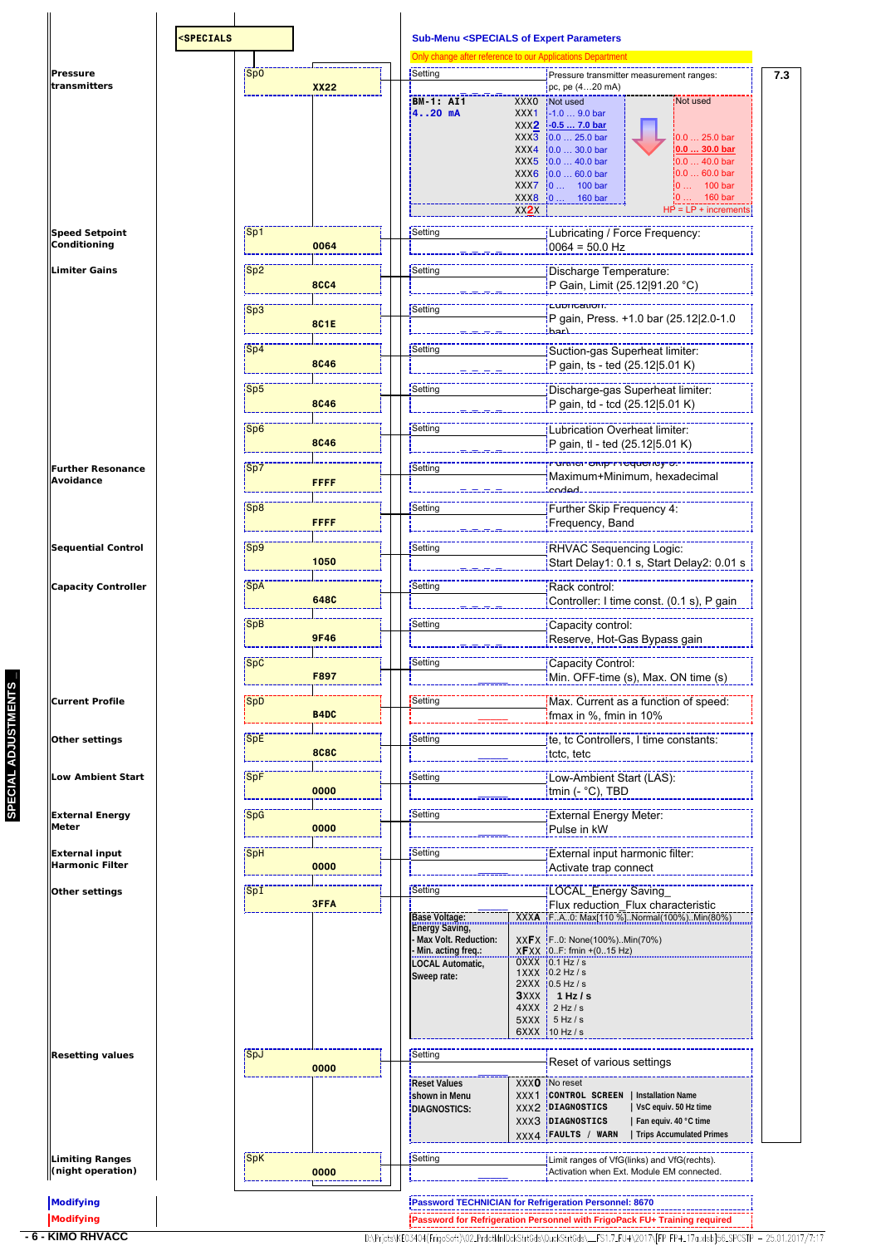|                                                 |            |             | <b>Sub-Menu <specials b="" expert="" of="" parameters<=""><br/>Only change after reference to our Applications Department</specials></b>         |                                         |                                                                                                                                                                                                                                                                                                   |                                                                                                                                              |
|-------------------------------------------------|------------|-------------|--------------------------------------------------------------------------------------------------------------------------------------------------|-----------------------------------------|---------------------------------------------------------------------------------------------------------------------------------------------------------------------------------------------------------------------------------------------------------------------------------------------------|----------------------------------------------------------------------------------------------------------------------------------------------|
| <b>Pressure</b>                                 | Sp0        |             | Setting                                                                                                                                          |                                         | Pressure transmitter measurement ranges:                                                                                                                                                                                                                                                          |                                                                                                                                              |
| transmitters                                    |            | <b>XX22</b> | <b>BM-1: AI1</b><br>420 mA                                                                                                                       | XXX1<br>XX2X                            | pc, pe $(420 \text{ mA})$<br>XXX0 Not used<br>$-1.09.0$ bar<br>XXX2 -0.5  7.0 bar<br>XXX3 0.0  25.0 bar<br>XXX4 $\frac{1}{2}0.0$ 30.0 bar<br>XXX5 $\left 0.0\right $ 40.0 bar<br>$\overline{X}X\overline{X}6$ 0.0  60.0 bar<br>$XXX7$ 0  100 bar<br>$\overline{)}$ XXX8 $\overline{)}$ 0  160 bar | Not used<br>$0.025.0$ bar<br>$0.030.0$ bar<br>$0.0$ 40.0 bar<br>$0.060.0$ bar<br>$\frac{1}{2}0$ 100 bar<br>160 bar<br>$HP = LP + increments$ |
| <b>Speed Setpoint</b><br>Conditioning           | Sp1        | 0064        | Setting                                                                                                                                          |                                         | Lubricating / Force Frequency:<br>$10064 = 50.0$ Hz                                                                                                                                                                                                                                               |                                                                                                                                              |
| <b>Limiter Gains</b>                            | Sp2        | 8CC4        | Setting                                                                                                                                          |                                         | Discharge Temperature:<br>P Gain, Limit (25.12 91.20 °C)                                                                                                                                                                                                                                          |                                                                                                                                              |
|                                                 | Sp3        | 8C1E        | Setting                                                                                                                                          |                                         | cuomcanom:                                                                                                                                                                                                                                                                                        | P gain, Press. +1.0 bar (25.12 2.0-1.0                                                                                                       |
|                                                 | Sp4        | <b>8C46</b> | Setting                                                                                                                                          |                                         | Suction-gas Superheat limiter:<br>P gain, ts - ted (25.12 5.01 K)                                                                                                                                                                                                                                 |                                                                                                                                              |
|                                                 | Sp5        | <b>8C46</b> | Setting                                                                                                                                          |                                         | Discharge-gas Superheat limiter:<br>P gain, td - tcd (25.12 5.01 K)                                                                                                                                                                                                                               |                                                                                                                                              |
|                                                 | $ $ Sp6    | <b>8C46</b> | Setting                                                                                                                                          |                                         | Lubrication Overheat limiter:<br>P gain, tl - ted (25.12 5.01 K)                                                                                                                                                                                                                                  |                                                                                                                                              |
| <b>Further Resonance</b><br>Avoidance           | Sp7        | <b>FFFF</b> | Setting                                                                                                                                          |                                         | ירעומז <del>כ</del> ו־סגוף־רז <del>כ</del> קעפוזטץ־ס.<br>Maximum+Minimum, hexadecimal<br>haho                                                                                                                                                                                                     |                                                                                                                                              |
|                                                 | Sp8        | FFFF        | Setting                                                                                                                                          |                                         | Further Skip Frequency 4:<br>Frequency, Band                                                                                                                                                                                                                                                      |                                                                                                                                              |
| <b>Sequential Control</b>                       | $ $ Sp9    | 1050        | Setting                                                                                                                                          |                                         | RHVAC Sequencing Logic:                                                                                                                                                                                                                                                                           | Start Delay1: 0.1 s, Start Delay2: 0.01 s                                                                                                    |
| <b>Capacity Controller</b>                      | SpA        | 648C        | Setting                                                                                                                                          |                                         | Rack control:                                                                                                                                                                                                                                                                                     | Controller: I time const. (0.1 s), P gain                                                                                                    |
|                                                 | SpB        | <b>9F46</b> | Setting                                                                                                                                          |                                         | Capacity control:<br>Reserve, Hot-Gas Bypass gain                                                                                                                                                                                                                                                 |                                                                                                                                              |
|                                                 | <b>SpC</b> | F897        | Setting                                                                                                                                          |                                         | Capacity Control:<br>Min. OFF-time (s), Max. ON time (s)                                                                                                                                                                                                                                          |                                                                                                                                              |
| <b>Current Profile</b>                          | SpD        | B4DC        | Setting                                                                                                                                          |                                         | Max. Current as a function of speed:<br>ifmax in %, fmin in 10%                                                                                                                                                                                                                                   |                                                                                                                                              |
| Other settings                                  | SpE        | <b>8C8C</b> | Setting                                                                                                                                          |                                         | te, to Controllers, I time constants:<br>tctc, tetc                                                                                                                                                                                                                                               |                                                                                                                                              |
| <b>Low Ambient Start</b>                        | SpF        | 0000        | Setting                                                                                                                                          |                                         | Low-Ambient Start (LAS):<br>tmin (- °C), TBD                                                                                                                                                                                                                                                      |                                                                                                                                              |
| <b>External Energy</b><br>Meter                 | <b>SpG</b> | 0000        | Setting                                                                                                                                          |                                         | External Energy Meter:<br>Pulse in kW                                                                                                                                                                                                                                                             |                                                                                                                                              |
| <b>External input</b><br><b>Harmonic Filter</b> | SpH        | 0000        | Setting                                                                                                                                          |                                         | External input harmonic filter:<br>Activate trap connect                                                                                                                                                                                                                                          |                                                                                                                                              |
| Other settings                                  | SpI        | <b>3FFA</b> | Setting<br><b>Base Voltage:</b><br><b>Energy Saving,</b><br>Max Volt. Reduction:<br>Min. acting freq.:<br><b>LOCAL Automatic,</b><br>Sweep rate: |                                         | LOCAL_Energy Saving<br>XXFX F0: None(100%)Min(70%)<br>$X$ FXX $(0F: fmin + (015 Hz))$<br>$0$ XXX $10.1$ Hz / s<br>$1$ XXX $10.2$ Hz / s                                                                                                                                                           |                                                                                                                                              |
|                                                 |            |             |                                                                                                                                                  | $3$ $XX$ $X$ $\uparrow$<br>4XXX<br>5XXX | $2XXX$ $10.5$ Hz / s<br>1 Hz $/s$<br>$2$ Hz / s<br>5 Hz/s<br>$6XXX$ 10 Hz / s                                                                                                                                                                                                                     |                                                                                                                                              |
| <b>Resetting values</b>                         | SpJ        | 0000        | Setting<br><b>Reset Values</b>                                                                                                                   |                                         | Reset of various settings<br>XXX0 No reset                                                                                                                                                                                                                                                        |                                                                                                                                              |
|                                                 |            |             | shown in Menu<br><b>IDIAGNOSTICS:</b>                                                                                                            |                                         | XXX1   CONTROL SCREEN   Installation Name<br>XXX2   DIAGNOSTICS<br>XXX3 DIAGNOSTICS<br>XXX4 FAULTS / WARN                                                                                                                                                                                         | VsC equiv. 50 Hz time<br>Fan equiv. 40 °C time<br>Trips Accumulated Primes                                                                   |
| <b>Limiting Ranges</b><br>(night operation)     | SpK        | 0000        | Setting                                                                                                                                          |                                         | Limit ranges of VfG(links) and VfG(rechts).<br>Activation when Ext. Module EM connected.                                                                                                                                                                                                          |                                                                                                                                              |
| Modifying                                       |            |             |                                                                                                                                                  |                                         | Password TECHNICIAN for Refrigeration Personnel: 8670                                                                                                                                                                                                                                             |                                                                                                                                              |
| Modifying                                       |            |             |                                                                                                                                                  |                                         | Password for Refrigeration Personnel with FrigoPack FU+ Training required                                                                                                                                                                                                                         |                                                                                                                                              |
| <b>KIMO RHVACC</b>                              |            |             |                                                                                                                                                  |                                         |                                                                                                                                                                                                                                                                                                   | D:\Prjcts\KE03404(FrigoSoft)\02_PrdctMnlQckStrtGds\QuckStrtGds\__FS1.7_FU+\2017\[FPFP+_17a.xlsb]56_SPCSTP - 25.01.2017/7:17                  |

**SPECIAL ADJUSTMENTS \_**

SPECIAL ADJUSTMENTS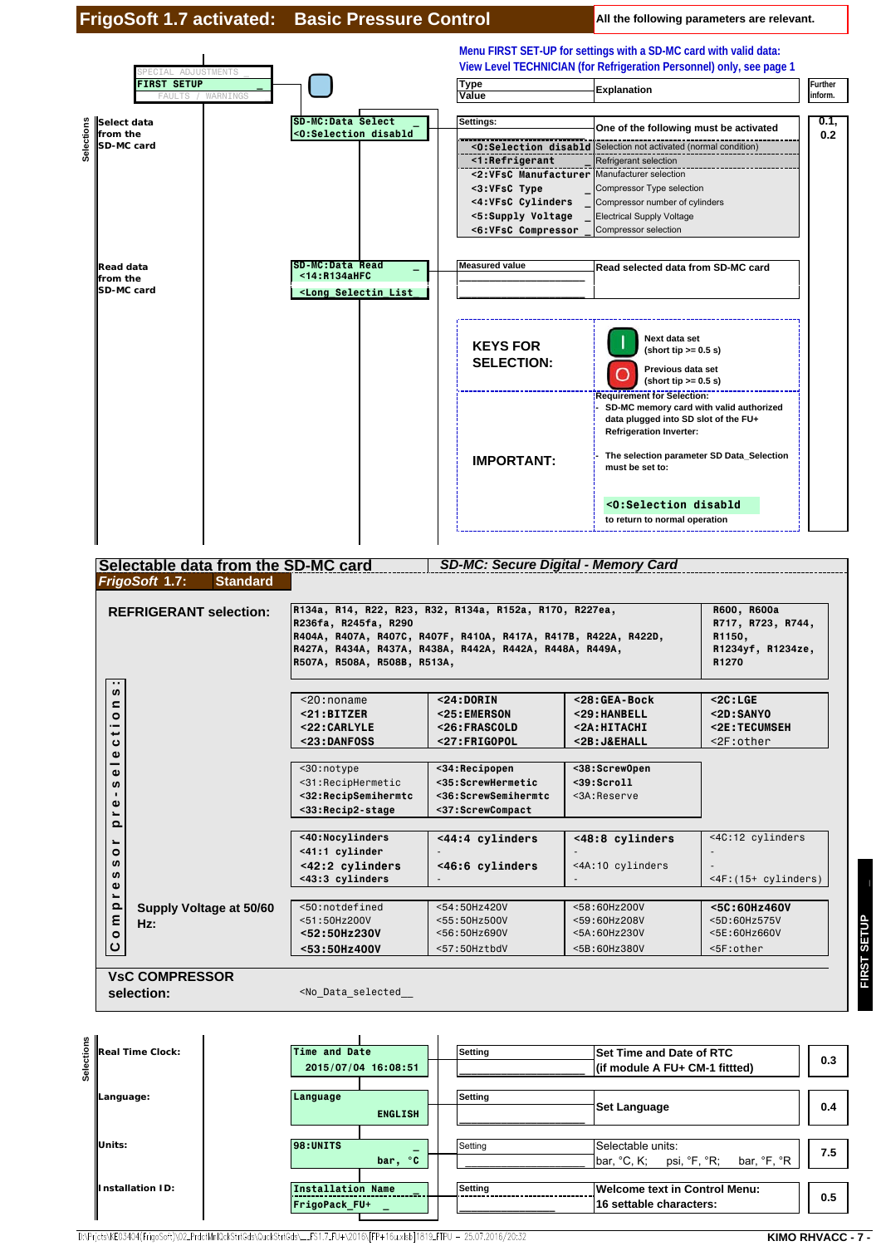

**Units: 98:UNITS DEPENDENTS PERIODIC SECTION Selectable units: 7.5 1 7.5** 

**Installation ID: Installation Name Also Electing Melcome text in Control Menu:** 

D:\Prjcts\KE03404(FrigoSoft)\02\_PrdctMnlQckStrtGds\QuckStrtGds\\_\_FS1.7\_FU+\2016\[FP+16u.xlsb]1819\_FTPU - 25.07.2016/20:32

**Designative Contract Construction Construction Construction Construction Construction Construction Construction**<br>  $\begin{array}{|c|c|c|c|c|}\hline \textbf{FrigoPack_FU+} & \textbf{0.5} \\\hline \end{array}$ 

 **bar, °C** \_\_\_\_\_\_\_\_\_\_\_\_\_\_\_\_\_\_\_\_ bar, °C, K; psi, °F, °R; bar, °F, °R

**FIRST SETUP \_ FIRST SETUP** 

**KIMO RHVACC - 7 -**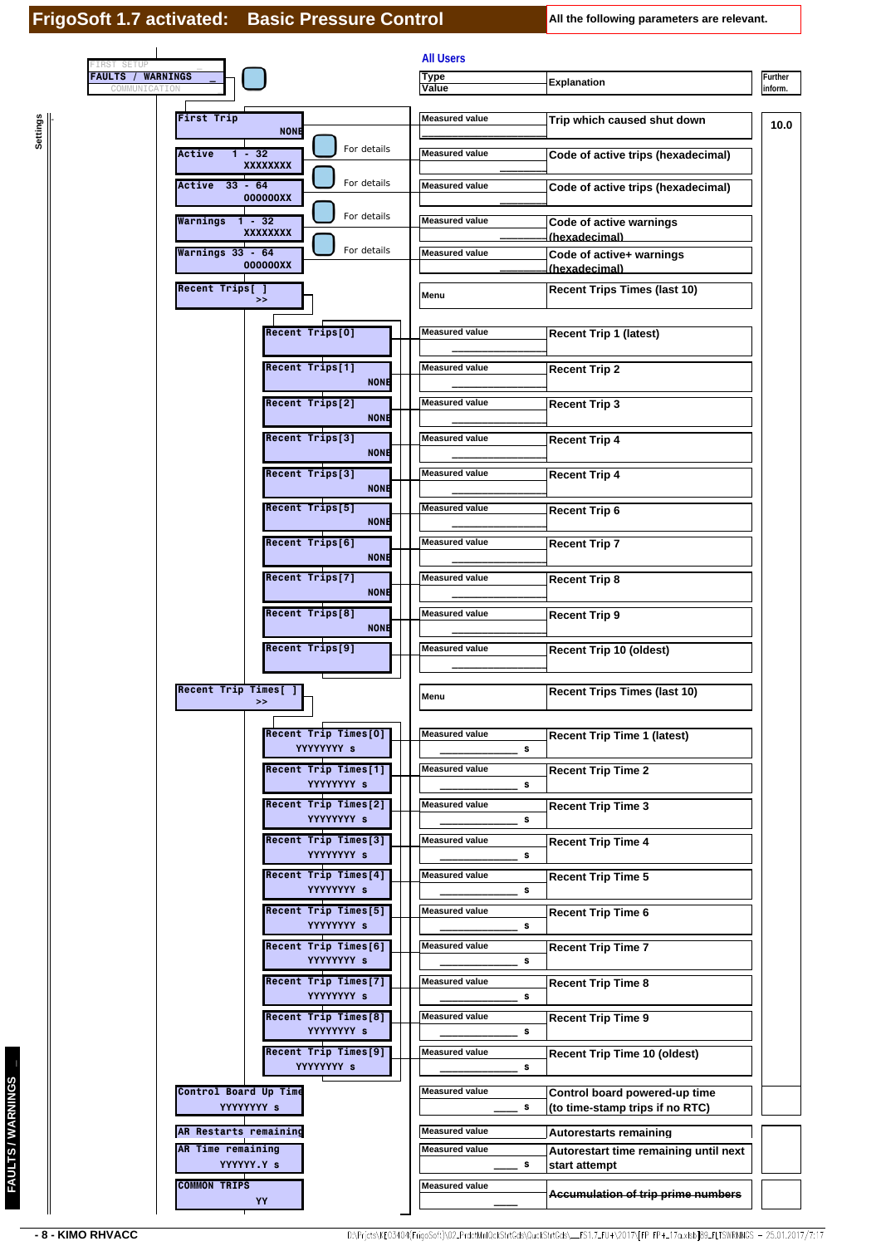**Settings**

| <b>FAULTS / WARNINGS</b><br><b>Type</b><br><b>Explanation</b><br>COMMUNICATIO<br>Value<br><b>First Trip</b><br><b>Measured value</b><br>Trip which caused shut down<br><b>NONE</b><br>For details<br>$1 - 32$<br>Active<br><b>Measured value</b><br>Code of active trips (hexadecimal)<br><b>XXXXXXXX</b><br>For details<br>$33 - 64$<br><b>Measured value</b><br>Active<br>Code of active trips (hexadecimal)<br>000000XX<br>For details<br><b>Measured value</b><br>Warnings<br>$1 - 32$<br>Code of active warnings<br><b>XXXXXXXX</b><br>(hexadecimal)<br>For details<br>Warnings 33 - 64<br><b>Measured value</b><br>Code of active+ warnings<br>000000XX<br>(hexadecimal)<br>Recent Trips[]<br><b>Recent Trips Times (last 10)</b><br>Menu<br>>><br>Recent Trips[0]<br><b>Measured value</b><br><b>Recent Trip 1 (latest)</b><br>Recent Trips[1]<br><b>Measured value</b><br><b>Recent Trip 2</b><br><b>NONE</b> |
|-----------------------------------------------------------------------------------------------------------------------------------------------------------------------------------------------------------------------------------------------------------------------------------------------------------------------------------------------------------------------------------------------------------------------------------------------------------------------------------------------------------------------------------------------------------------------------------------------------------------------------------------------------------------------------------------------------------------------------------------------------------------------------------------------------------------------------------------------------------------------------------------------------------------------|
|                                                                                                                                                                                                                                                                                                                                                                                                                                                                                                                                                                                                                                                                                                                                                                                                                                                                                                                       |
|                                                                                                                                                                                                                                                                                                                                                                                                                                                                                                                                                                                                                                                                                                                                                                                                                                                                                                                       |
|                                                                                                                                                                                                                                                                                                                                                                                                                                                                                                                                                                                                                                                                                                                                                                                                                                                                                                                       |
|                                                                                                                                                                                                                                                                                                                                                                                                                                                                                                                                                                                                                                                                                                                                                                                                                                                                                                                       |
|                                                                                                                                                                                                                                                                                                                                                                                                                                                                                                                                                                                                                                                                                                                                                                                                                                                                                                                       |
|                                                                                                                                                                                                                                                                                                                                                                                                                                                                                                                                                                                                                                                                                                                                                                                                                                                                                                                       |
|                                                                                                                                                                                                                                                                                                                                                                                                                                                                                                                                                                                                                                                                                                                                                                                                                                                                                                                       |
|                                                                                                                                                                                                                                                                                                                                                                                                                                                                                                                                                                                                                                                                                                                                                                                                                                                                                                                       |
|                                                                                                                                                                                                                                                                                                                                                                                                                                                                                                                                                                                                                                                                                                                                                                                                                                                                                                                       |
|                                                                                                                                                                                                                                                                                                                                                                                                                                                                                                                                                                                                                                                                                                                                                                                                                                                                                                                       |
| Recent Trips[2]<br><b>Measured value</b><br><b>Recent Trip 3</b><br><b>NONE</b>                                                                                                                                                                                                                                                                                                                                                                                                                                                                                                                                                                                                                                                                                                                                                                                                                                       |
| Recent Trips[3]<br><b>Measured value</b><br><b>Recent Trip 4</b><br><b>NONE</b>                                                                                                                                                                                                                                                                                                                                                                                                                                                                                                                                                                                                                                                                                                                                                                                                                                       |
| Recent Trips[3]<br><b>Measured value</b><br><b>Recent Trip 4</b><br><b>NONE</b>                                                                                                                                                                                                                                                                                                                                                                                                                                                                                                                                                                                                                                                                                                                                                                                                                                       |
| Recent Trips[5]<br><b>Measured value</b><br><b>Recent Trip 6</b><br><b>NONE</b>                                                                                                                                                                                                                                                                                                                                                                                                                                                                                                                                                                                                                                                                                                                                                                                                                                       |
| Recent Trips[6]<br><b>Measured value</b><br><b>Recent Trip 7</b><br><b>NONE</b>                                                                                                                                                                                                                                                                                                                                                                                                                                                                                                                                                                                                                                                                                                                                                                                                                                       |
| Recent Trips[7]<br><b>Measured value</b><br><b>Recent Trip 8</b><br><b>NONE</b>                                                                                                                                                                                                                                                                                                                                                                                                                                                                                                                                                                                                                                                                                                                                                                                                                                       |
| Recent Trips[8]<br><b>Measured value</b><br><b>Recent Trip 9</b><br><b>NONE</b>                                                                                                                                                                                                                                                                                                                                                                                                                                                                                                                                                                                                                                                                                                                                                                                                                                       |
| Recent Trips[9]<br><b>Measured value</b><br>Recent Trip 10 (oldest)                                                                                                                                                                                                                                                                                                                                                                                                                                                                                                                                                                                                                                                                                                                                                                                                                                                   |
| Recent Trip Times[]<br><b>Recent Trips Times (last 10)</b><br>Menu<br>>>                                                                                                                                                                                                                                                                                                                                                                                                                                                                                                                                                                                                                                                                                                                                                                                                                                              |
| Recent Trip Times[0]<br><b>Measured value</b><br><b>Recent Trip Time 1 (latest)</b><br>YYYYYYY s<br>s                                                                                                                                                                                                                                                                                                                                                                                                                                                                                                                                                                                                                                                                                                                                                                                                                 |
| Recent Trip Times[1]<br><b>Measured value</b><br><b>Recent Trip Time 2</b><br>YYYYYYYY s<br>s                                                                                                                                                                                                                                                                                                                                                                                                                                                                                                                                                                                                                                                                                                                                                                                                                         |
| Recent Trip Times[2]<br><b>Measured value</b><br><b>Recent Trip Time 3</b><br>YYYYYYY s<br>s                                                                                                                                                                                                                                                                                                                                                                                                                                                                                                                                                                                                                                                                                                                                                                                                                          |
| Recent Trip Times[3]<br><b>Measured value</b><br><b>Recent Trip Time 4</b><br>YYYYYYY s<br>s                                                                                                                                                                                                                                                                                                                                                                                                                                                                                                                                                                                                                                                                                                                                                                                                                          |
| Recent Trip Times[4]<br><b>Measured value</b><br><b>Recent Trip Time 5</b><br>YYYYYYY s<br>s                                                                                                                                                                                                                                                                                                                                                                                                                                                                                                                                                                                                                                                                                                                                                                                                                          |
| Recent Trip Times[5]<br><b>Measured value</b><br><b>Recent Trip Time 6</b><br>YYYYYYY s<br>s                                                                                                                                                                                                                                                                                                                                                                                                                                                                                                                                                                                                                                                                                                                                                                                                                          |
| <b>Measured value</b><br>Recent Trip Times[6]<br><b>Recent Trip Time 7</b><br>YYYYYYY s<br>s                                                                                                                                                                                                                                                                                                                                                                                                                                                                                                                                                                                                                                                                                                                                                                                                                          |
| Recent Trip Times[7]<br><b>Measured value</b><br><b>Recent Trip Time 8</b><br>YYYYYYYY s<br>s                                                                                                                                                                                                                                                                                                                                                                                                                                                                                                                                                                                                                                                                                                                                                                                                                         |
| Recent Trip Times[8]<br><b>Measured value</b><br><b>Recent Trip Time 9</b><br>YYYYYYY s<br>s                                                                                                                                                                                                                                                                                                                                                                                                                                                                                                                                                                                                                                                                                                                                                                                                                          |
| Recent Trip Times[9]<br><b>Measured value</b><br><b>Recent Trip Time 10 (oldest)</b><br>YYYYYYY s<br>s                                                                                                                                                                                                                                                                                                                                                                                                                                                                                                                                                                                                                                                                                                                                                                                                                |
| Control Board Up Time<br><b>Measured value</b><br>Control board powered-up time<br>YYYYYYY s<br>(to time-stamp trips if no RTC)<br>s                                                                                                                                                                                                                                                                                                                                                                                                                                                                                                                                                                                                                                                                                                                                                                                  |
| AR Restarts remaining<br><b>Measured value</b><br><b>Autorestarts remaining</b>                                                                                                                                                                                                                                                                                                                                                                                                                                                                                                                                                                                                                                                                                                                                                                                                                                       |
| AR Time remaining<br><b>Measured value</b><br>Autorestart time remaining until next<br>YYYYYY.Y s<br>s<br>start attempt                                                                                                                                                                                                                                                                                                                                                                                                                                                                                                                                                                                                                                                                                                                                                                                               |
| <b>COMMON TRIPS</b><br><b>Measured value</b><br><b>Accumulation of trip prime numbers</b><br>YY                                                                                                                                                                                                                                                                                                                                                                                                                                                                                                                                                                                                                                                                                                                                                                                                                       |

**FAULTS / WARNINGS \_**

FAULTS / WARNINGS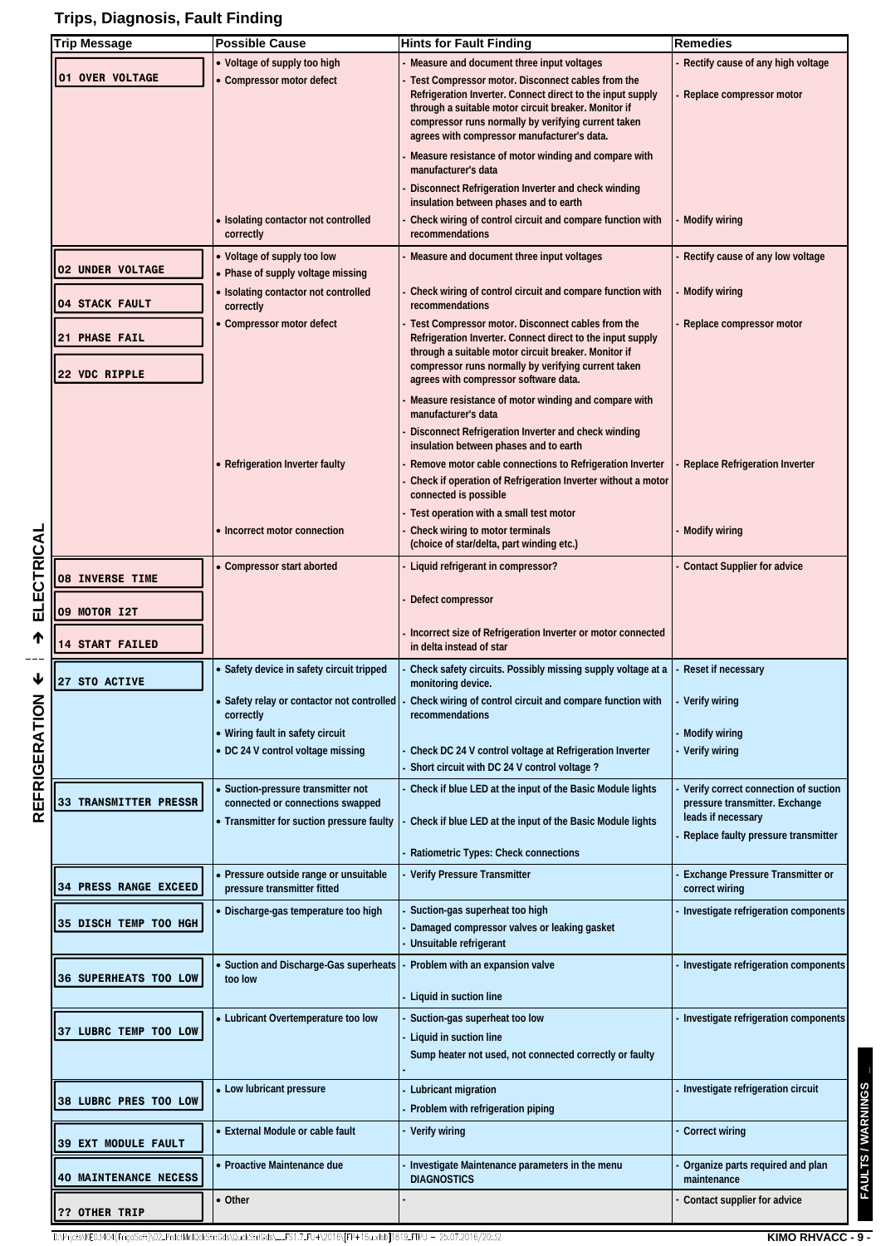# **Trips, Diagnosis, Fault Finding**

**ELECTRICAL**

**REFRIGERATION**

| <b>Trip Message</b>                   | <b>Possible Cause</b>                                                                                  | <b>Hints for Fault Finding</b>                                                                                                                                                                                                                                                | Remedies                                                                                     |
|---------------------------------------|--------------------------------------------------------------------------------------------------------|-------------------------------------------------------------------------------------------------------------------------------------------------------------------------------------------------------------------------------------------------------------------------------|----------------------------------------------------------------------------------------------|
|                                       | • Voltage of supply too high                                                                           | Measure and document three input voltages                                                                                                                                                                                                                                     | Rectify cause of any high voltage                                                            |
| 01 OVER VOLTAGE                       | Compressor motor defect                                                                                | Test Compressor motor. Disconnect cables from the<br>Refrigeration Inverter. Connect direct to the input supply<br>through a suitable motor circuit breaker. Monitor if<br>compressor runs normally by verifying current taken<br>agrees with compressor manufacturer's data. | Replace compressor motor                                                                     |
|                                       |                                                                                                        | Measure resistance of motor winding and compare with<br>manufacturer's data<br>Disconnect Refrigeration Inverter and check winding                                                                                                                                            |                                                                                              |
|                                       | Isolating contactor not controlled                                                                     | insulation between phases and to earth<br>Check wiring of control circuit and compare function with                                                                                                                                                                           | <b>Modify wiring</b>                                                                         |
|                                       | correctly                                                                                              | recommendations                                                                                                                                                                                                                                                               |                                                                                              |
| <b>02 UNDER VOLTAGE</b>               | • Voltage of supply too low<br>Phase of supply voltage missing<br>• Isolating contactor not controlled | Measure and document three input voltages<br>Check wiring of control circuit and compare function with                                                                                                                                                                        | Rectify cause of any low voltage<br><b>Modify wiring</b>                                     |
| <b>04 STACK FAULT</b>                 | correctly                                                                                              | recommendations                                                                                                                                                                                                                                                               |                                                                                              |
| <b>21 PHASE FAIL</b><br>22 VDC RIPPLE | Compressor motor defect                                                                                | Test Compressor motor. Disconnect cables from the<br>Refrigeration Inverter. Connect direct to the input supply<br>through a suitable motor circuit breaker. Monitor if<br>compressor runs normally by verifying current taken<br>agrees with compressor software data.       | Replace compressor motor                                                                     |
|                                       |                                                                                                        | Measure resistance of motor winding and compare with<br>manufacturer's data                                                                                                                                                                                                   |                                                                                              |
|                                       |                                                                                                        | Disconnect Refrigeration Inverter and check winding<br>insulation between phases and to earth                                                                                                                                                                                 |                                                                                              |
|                                       | <b>Refrigeration Inverter faulty</b>                                                                   | Remove motor cable connections to Refrigeration Inverter<br>Check if operation of Refrigeration Inverter without a motor<br>connected is possible                                                                                                                             | <b>Replace Refrigeration Inverter</b>                                                        |
|                                       |                                                                                                        | Test operation with a small test motor                                                                                                                                                                                                                                        |                                                                                              |
|                                       | • Incorrect motor connection                                                                           | Check wiring to motor terminals<br>(choice of star/delta, part winding etc.)                                                                                                                                                                                                  | Modify wiring                                                                                |
| <b>08 INVERSE TIME</b>                | • Compressor start aborted                                                                             | Liquid refrigerant in compressor?                                                                                                                                                                                                                                             | <b>Contact Supplier for advice</b>                                                           |
| 09 MOTOR I2T                          |                                                                                                        | Defect compressor<br>Incorrect size of Refrigeration Inverter or motor connected                                                                                                                                                                                              |                                                                                              |
| <b>14 START FAILED</b>                |                                                                                                        | in delta instead of star                                                                                                                                                                                                                                                      |                                                                                              |
| 27 STO ACTIVE                         | • Safety device in safety circuit tripped                                                              | Check safety circuits. Possibly missing supply voltage at a<br>monitoring device.                                                                                                                                                                                             | Reset if necessary                                                                           |
|                                       | correctly<br>• Wiring fault in safety circuit                                                          | Safety relay or contactor not controlled   - Check wiring of control circuit and compare function with   - Verify wiring<br>recommendations                                                                                                                                   |                                                                                              |
|                                       | • DC 24 V control voltage missing                                                                      | Check DC 24 V control voltage at Refrigeration Inverter<br>Short circuit with DC 24 V control voltage?                                                                                                                                                                        | - Modify wiring<br>Verify wiring                                                             |
| 33 TRANSMITTER PRESSR                 | · Suction-pressure transmitter not<br>connected or connections swapped                                 | Check if blue LED at the input of the Basic Module lights                                                                                                                                                                                                                     | Verify correct connection of suction<br>pressure transmitter. Exchange<br>leads if necessary |
|                                       | • Transmitter for suction pressure faulty                                                              | Check if blue LED at the input of the Basic Module lights                                                                                                                                                                                                                     | Replace faulty pressure transmitter                                                          |
|                                       | • Pressure outside range or unsuitable                                                                 | Ratiometric Types: Check connections<br>Verify Pressure Transmitter                                                                                                                                                                                                           | <b>Exchange Pressure Transmitter or</b>                                                      |
| <b>34 PRESS RANGE EXCEED</b>          | pressure transmitter fitted                                                                            |                                                                                                                                                                                                                                                                               | correct wiring                                                                               |
| <b>35 DISCH TEMP TOO HGH</b>          | • Discharge-gas temperature too high                                                                   | Suction-gas superheat too high<br>Damaged compressor valves or leaking gasket<br>Unsuitable refrigerant                                                                                                                                                                       | Investigate refrigeration components                                                         |
| <b>36 SUPERHEATS TOO LOW</b>          | · Suction and Discharge-Gas superheats<br>too low                                                      | Problem with an expansion valve<br>Liquid in suction line                                                                                                                                                                                                                     | Investigate refrigeration components                                                         |
| <b>37 LUBRC TEMP TOO LOW</b>          | • Lubricant Overtemperature too low                                                                    | Suction-gas superheat too low<br>Liquid in suction line<br>Sump heater not used, not connected correctly or faulty                                                                                                                                                            | Investigate refrigeration components                                                         |
| <b>38 LUBRC PRES TOO LOW</b>          | • Low lubricant pressure                                                                               | Lubricant migration<br>Problem with refrigeration piping                                                                                                                                                                                                                      | Investigate refrigeration circuit                                                            |
| <b>39 EXT MODULE FAULT</b>            | • External Module or cable fault                                                                       | Verify wiring                                                                                                                                                                                                                                                                 | <b>Correct wiring</b>                                                                        |
| <b>40 MAINTENANCE NECESS</b>          | • Proactive Maintenance due                                                                            | Investigate Maintenance parameters in the menu<br><b>DIAGNOSTICS</b>                                                                                                                                                                                                          | Organize parts required and plan<br>maintenance                                              |
| <b>?? OTHER TRIP</b>                  | • Other                                                                                                |                                                                                                                                                                                                                                                                               | Contact supplier for advice                                                                  |
|                                       |                                                                                                        |                                                                                                                                                                                                                                                                               |                                                                                              |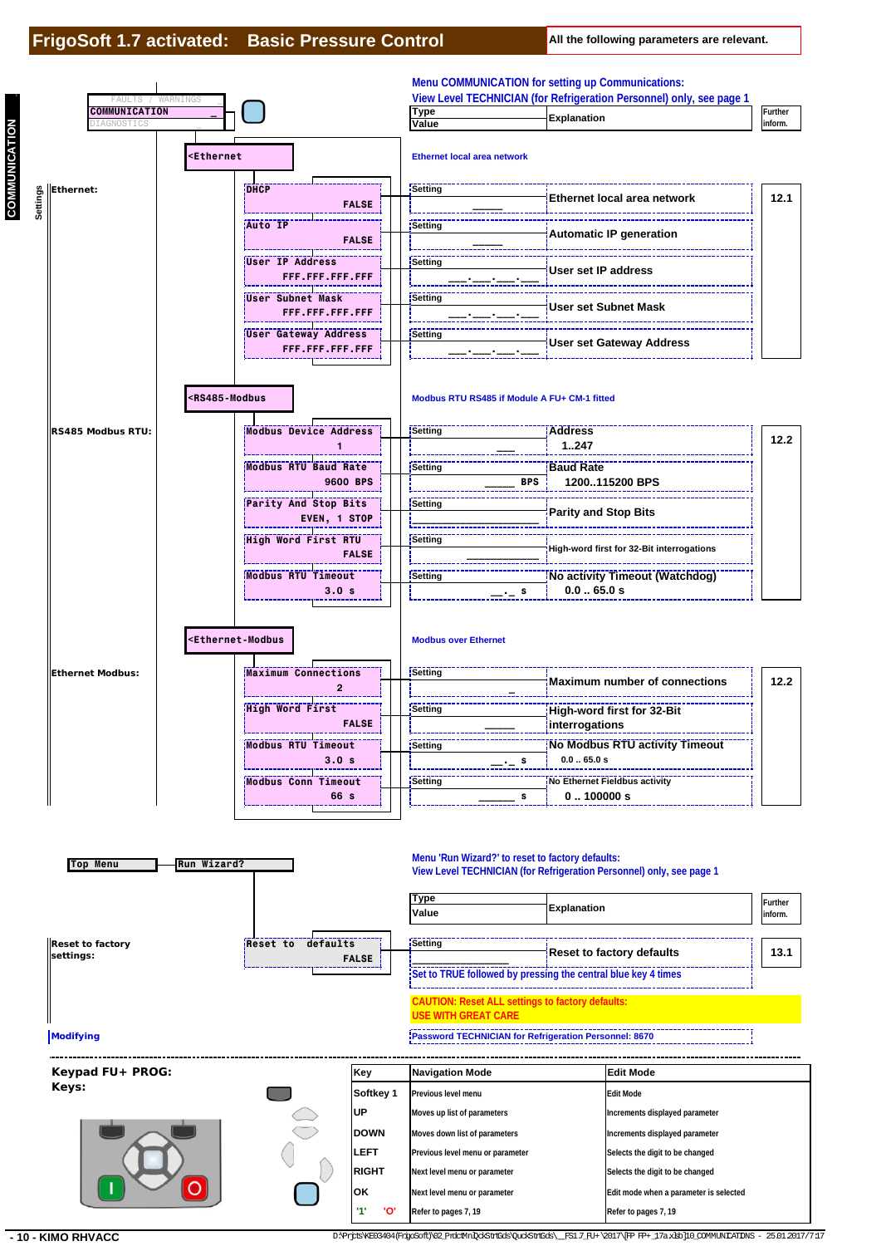**COMMUNICATION \_**

**COMMUNICATION** 



**- 10 - KIMO RHVACC** D:\Prigos\XE03404(FrigoSoft)\02\_PrdctMnlQckStrtGds\\_\_FS1.7\_FU+\2017\[FP FP+\_17a.xlsb]10\_COMMUNICATIONS - 25.01.2017/7:17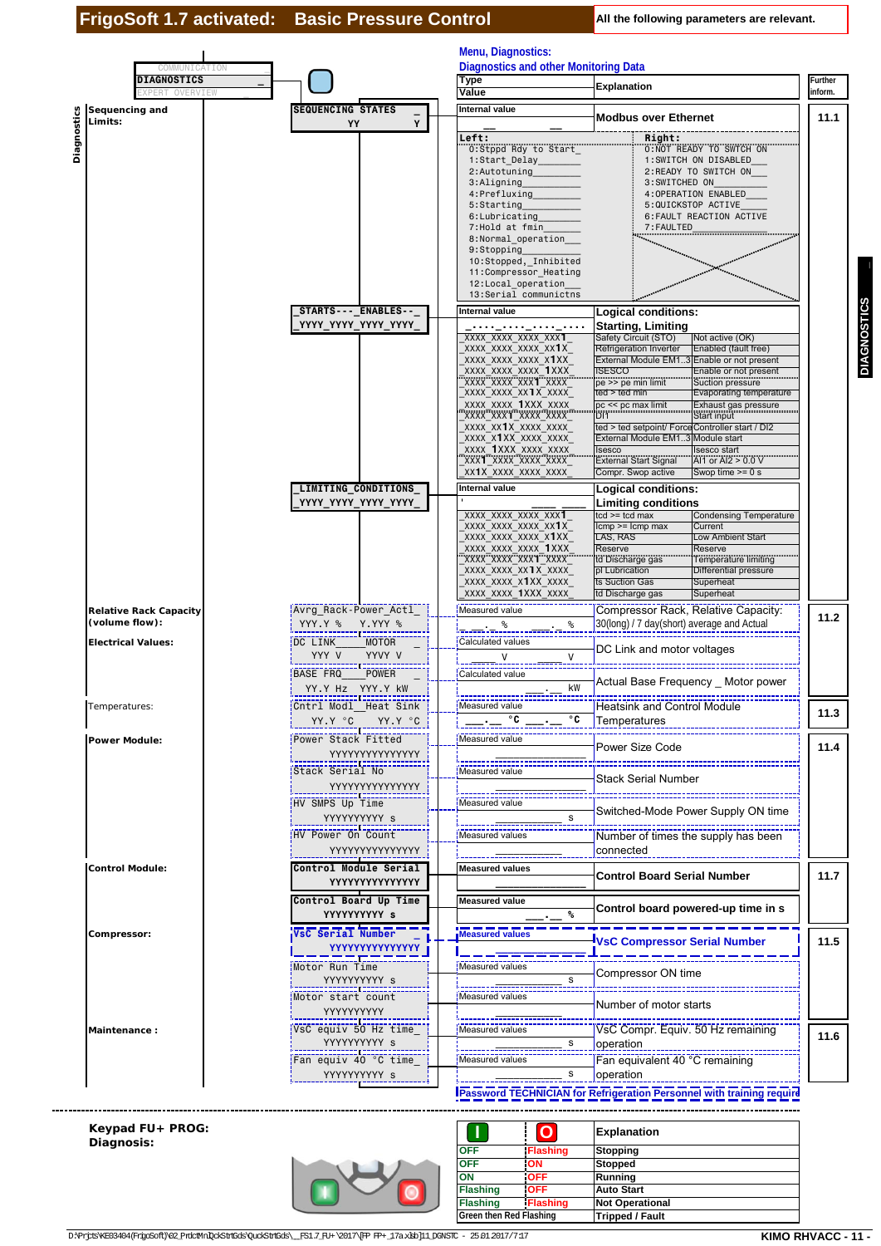| COMMUNICATION                                   |                                                                                                                         | Menu, Diagnostics:<br><b>Diagnostics and other Monitoring Data</b>                                                                                                                                                                                                                                                                                                                                                                                        |                                                                                                                                                                                                                                                                                                                                                                                                                                                                                                                                                                                                             |                    |
|-------------------------------------------------|-------------------------------------------------------------------------------------------------------------------------|-----------------------------------------------------------------------------------------------------------------------------------------------------------------------------------------------------------------------------------------------------------------------------------------------------------------------------------------------------------------------------------------------------------------------------------------------------------|-------------------------------------------------------------------------------------------------------------------------------------------------------------------------------------------------------------------------------------------------------------------------------------------------------------------------------------------------------------------------------------------------------------------------------------------------------------------------------------------------------------------------------------------------------------------------------------------------------------|--------------------|
| <b>DIAGNOSTICS</b><br>OVERVIEW                  |                                                                                                                         | Type<br>Value                                                                                                                                                                                                                                                                                                                                                                                                                                             | <b>Explanation</b>                                                                                                                                                                                                                                                                                                                                                                                                                                                                                                                                                                                          | Further<br>inform. |
| Sequencing and<br>Limits:                       | <b>SEQUENCING STATES</b><br>Y<br>YY                                                                                     | <b>Internal value</b>                                                                                                                                                                                                                                                                                                                                                                                                                                     | <b>Modbus over Ethernet</b>                                                                                                                                                                                                                                                                                                                                                                                                                                                                                                                                                                                 | 11.1               |
| Diagnostics                                     |                                                                                                                         | Left:<br>0:Stppd Rdy to Start<br>1:Start Delay<br>2:Autotuning<br>3:Aligning<br>4:Prefluxing<br>5:Starting<br>6:Lubricating<br>7:Hold at fmin<br>8:Normal_operation____<br>9:Stopping<br>10:Stopped, Inhibited<br>11:Compressor_Heating<br>12:Local_operation<br>13:Serial communictns                                                                                                                                                                    | Right:<br><b>0:NOT READY TO SWTCH ON</b><br>1:SWITCH ON DISABLED<br>2:READY TO SWITCH ON<br>3:SWITCHED ON<br>4:OPERATION ENABLED<br>5:QUICKSTOP ACTIVE<br>6: FAULT REACTION ACTIVE<br>7: FAULTED                                                                                                                                                                                                                                                                                                                                                                                                            |                    |
|                                                 | STARTS--- ENABLES--<br>YYYY_YYYY_YYYY_YYYY_                                                                             | Internal value                                                                                                                                                                                                                                                                                                                                                                                                                                            | Logical conditions:                                                                                                                                                                                                                                                                                                                                                                                                                                                                                                                                                                                         |                    |
|                                                 |                                                                                                                         | ومعاون ومعاني ومعاني ومعاني<br>XXXX XXXX XXXX XXX <b>1</b><br>xxxx xxxx xxxx xx <b>1</b> x<br>xxxx xxxx xxxx x1xx<br>XXXX XXXX XXXX 1XXX<br>XXXX_XXXX_XXX1_XXXX<br>XXXX XXXX XX1X XXXX<br>xxxx xxxx 1xxx xxxx<br>XXXX XXX1 XXXX XXXX<br>xxxx xx1x xxxx xxxx<br>xxxx x1xx xxxx xxxx<br>xxxx 1xxx xxxx xxxx<br>XXX1 XXXX XXXX XXXX<br>XX1X XXXX XXXX XXXX                                                                                                   | <b>Starting, Limiting</b><br>Safety Circuit (STO)<br>Not active (OK)<br>Refrigeration Inverter<br>Enabled (fault free)<br>External Module EM13 Enable or not present<br><b>ISESCO</b><br>Enable or not present<br>pe >> pe min limit<br>Suction pressure<br>ted > ted min<br>Evaporating temperature<br>pc << pc max limit<br>Exhaust gas pressure<br>Start input<br>D <sub>11</sub><br>ted > ted setpoint/ Force Controller start / DI2<br>External Module EM13 Module start<br>Isesco<br>Isesco start<br><b>External Start Signal</b><br>Al1 or Al2 $> 0.0$ V<br>Compr. Swop active<br>Swop time $>= 0 s$ |                    |
|                                                 | LIMITING_CONDITIONS<br>YYYY_YYYY_YYYY_YYYY_                                                                             | Internal value<br>XXXX XXXX XXXX XXX1<br>xxxx xxxx xxxx xx <b>1</b> x<br>xxxx xxxx xxxx x1xx<br>xxxx xxxx xxxx 1xxx<br>XXXX XXXX XXX1 XXXX<br>xxxx xxxx xx1x xxxx<br>xxxx xxxx x1xx xxxx<br>XXXX XXXX 1XXX XXXX                                                                                                                                                                                                                                           | Logical conditions:<br><b>Limiting conditions</b><br>tcd >= tcd max<br><b>Condensing Temperature</b><br>$lcmp >= lcmp max$<br>Current<br>LAS, RAS<br>Low Ambient Start<br>Reserve<br>Reserve<br>td Discharge gas<br>Temperature limiting<br>pl Lubrication<br>Differential pressure<br>ts Suction Gas<br>Superheat<br>td Discharge gas<br>Superheat                                                                                                                                                                                                                                                         |                    |
| <b>Relative Rack Capacity</b><br>(volume flow): | Avrg Rack-Power Actl<br>YYY.Y % Y.YYY %                                                                                 | Measured value<br> <br> -------- <sup>%</sup><br>℅                                                                                                                                                                                                                                                                                                                                                                                                        | Compressor Rack, Relative Capacity:<br>30(long) / 7 day(short) average and Actual                                                                                                                                                                                                                                                                                                                                                                                                                                                                                                                           | 11.2               |
| <b>Electrical Values:</b>                       | DC LINK<br><b>MOTOR</b><br>YYY V<br>YYVY V                                                                              | Calculated values<br>V<br>V                                                                                                                                                                                                                                                                                                                                                                                                                               | DC Link and motor voltages                                                                                                                                                                                                                                                                                                                                                                                                                                                                                                                                                                                  |                    |
|                                                 | BASE FRQ<br><b>POWER</b><br>YY.Y Hz YYY.Y kW                                                                            | Calculated value<br>kW                                                                                                                                                                                                                                                                                                                                                                                                                                    | Actual Base Frequency _ Motor power                                                                                                                                                                                                                                                                                                                                                                                                                                                                                                                                                                         |                    |
| Temperatures:                                   | YY.Y °C YY.Y °C                                                                                                         | Measured value<br>$rac{1}{\sqrt{1-\frac{1}{\sqrt{1-\frac{1}{\sqrt{1-\frac{1}{\sqrt{1-\frac{1}{\sqrt{1-\frac{1}{\sqrt{1-\frac{1}{\sqrt{1-\frac{1}{\sqrt{1-\frac{1}{\sqrt{1-\frac{1}{\sqrt{1-\frac{1}{\sqrt{1-\frac{1}{\sqrt{1-\frac{1}{\sqrt{1-\frac{1}{\sqrt{1-\frac{1}{\sqrt{1-\frac{1}{\sqrt{1-\frac{1}{\sqrt{1-\frac{1}{\sqrt{1-\frac{1}{\sqrt{1-\frac{1}{\sqrt{1-\frac{1}{\sqrt{1-\frac{1}{\sqrt{1-\frac{1}{\sqrt{1-\frac{1}{\sqrt{1-\frac{1}{$<br>۰c | Heatsink and Control Module<br>Temperatures                                                                                                                                                                                                                                                                                                                                                                                                                                                                                                                                                                 | 11.3               |
| <b>Power Module:</b>                            | Power Stack Fitted<br>YYYYYYYYYYYYYY                                                                                    | Measured value                                                                                                                                                                                                                                                                                                                                                                                                                                            | Power Size Code                                                                                                                                                                                                                                                                                                                                                                                                                                                                                                                                                                                             | 11.4               |
|                                                 | -----------------------<br> Stack Serial No<br>YYYYYYYYYYYYYY                                                           | Measured value                                                                                                                                                                                                                                                                                                                                                                                                                                            | Stack Serial Number                                                                                                                                                                                                                                                                                                                                                                                                                                                                                                                                                                                         |                    |
|                                                 | --------------------------<br> HV SMPS Up Time                                                                          | Measured value<br>s                                                                                                                                                                                                                                                                                                                                                                                                                                       | Switched-Mode Power Supply ON time                                                                                                                                                                                                                                                                                                                                                                                                                                                                                                                                                                          |                    |
|                                                 | YYYYYYYYYY s<br>HV Power On Count                                                                                       | L_______ <del>________</del><br>;Measured values                                                                                                                                                                                                                                                                                                                                                                                                          | Number of times the supply has been                                                                                                                                                                                                                                                                                                                                                                                                                                                                                                                                                                         |                    |
| <b>Control Module:</b>                          | YYYYYYYYYYYYYY<br>Control Module Serial                                                                                 | <b>Measured values</b>                                                                                                                                                                                                                                                                                                                                                                                                                                    | connected<br><b>Control Board Serial Number</b>                                                                                                                                                                                                                                                                                                                                                                                                                                                                                                                                                             | 11.7               |
|                                                 | YYYYYYYYYYYYYY<br>Control Board Up Time                                                                                 | <b>Measured value</b>                                                                                                                                                                                                                                                                                                                                                                                                                                     | Control board powered-up time in s                                                                                                                                                                                                                                                                                                                                                                                                                                                                                                                                                                          |                    |
| Compressor:                                     | YYYYYYYYY s<br>VsC Serial Number                                                                                        | ℁<br>Measured values                                                                                                                                                                                                                                                                                                                                                                                                                                      | <b>VsC Compressor Serial Number</b>                                                                                                                                                                                                                                                                                                                                                                                                                                                                                                                                                                         | 11.5               |
|                                                 | <u> YYYYYYYYYYYYY</u><br>Motor Run Time<br>YYYYYYYYYY s                                                                 | Measured values<br>s                                                                                                                                                                                                                                                                                                                                                                                                                                      | Compressor ON time                                                                                                                                                                                                                                                                                                                                                                                                                                                                                                                                                                                          |                    |
|                                                 |                                                                                                                         | Measured values                                                                                                                                                                                                                                                                                                                                                                                                                                           | Number of motor starts                                                                                                                                                                                                                                                                                                                                                                                                                                                                                                                                                                                      |                    |
| Maintenance:                                    | YYYYYYYYY<br>:-----------------------------------<br>:VsC equiv 50 Hz time_                                             | Measured values                                                                                                                                                                                                                                                                                                                                                                                                                                           | VsC Compr. Equiv. 50 Hz remaining                                                                                                                                                                                                                                                                                                                                                                                                                                                                                                                                                                           | 11.6               |
|                                                 | YYYYYYYYY s<br>Fan equiv 40 °C time                                                                                     | s<br>Measured values                                                                                                                                                                                                                                                                                                                                                                                                                                      | operation<br>Fan equivalent 40 °C remaining                                                                                                                                                                                                                                                                                                                                                                                                                                                                                                                                                                 |                    |
|                                                 | YYYYYYYYYY s                                                                                                            | s                                                                                                                                                                                                                                                                                                                                                                                                                                                         | operation<br><b>IPassword TECHNICIAN for Refrigeration Personnel with training require</b>                                                                                                                                                                                                                                                                                                                                                                                                                                                                                                                  |                    |
| Keypad FU+ PROG:                                |                                                                                                                         |                                                                                                                                                                                                                                                                                                                                                                                                                                                           |                                                                                                                                                                                                                                                                                                                                                                                                                                                                                                                                                                                                             |                    |
| Diagnosis:                                      |                                                                                                                         | $\overline{O}$<br><b>OFF</b><br><b>Flashing</b>                                                                                                                                                                                                                                                                                                                                                                                                           | <b>Explanation</b><br><b>Stopping</b>                                                                                                                                                                                                                                                                                                                                                                                                                                                                                                                                                                       |                    |
|                                                 |                                                                                                                         | OFF<br>ON<br>ON<br><b>OFF</b>                                                                                                                                                                                                                                                                                                                                                                                                                             | <b>Stopped</b><br>Running                                                                                                                                                                                                                                                                                                                                                                                                                                                                                                                                                                                   |                    |
|                                                 |                                                                                                                         | <b>OFF</b><br><b>Flashing</b><br><b>Flashing</b><br><b>Flashing</b>                                                                                                                                                                                                                                                                                                                                                                                       | <b>Auto Start</b><br><b>Not Operational</b>                                                                                                                                                                                                                                                                                                                                                                                                                                                                                                                                                                 |                    |
|                                                 | D:\Prjds\KE03404(FrigoSoft)\02_PrdcMnDokStrtGds\QuokStrtGds\__FS1.7_FU+\2017\[FP_FP+_17axkb]11_DGNSTC - 25.01.2017/7:17 | Green then Red Flashing                                                                                                                                                                                                                                                                                                                                                                                                                                   | <b>Tripped / Fault</b>                                                                                                                                                                                                                                                                                                                                                                                                                                                                                                                                                                                      | KIMO RHVACC - 11 - |

#### **Keypad FU+ PROG: Diagnosis:**

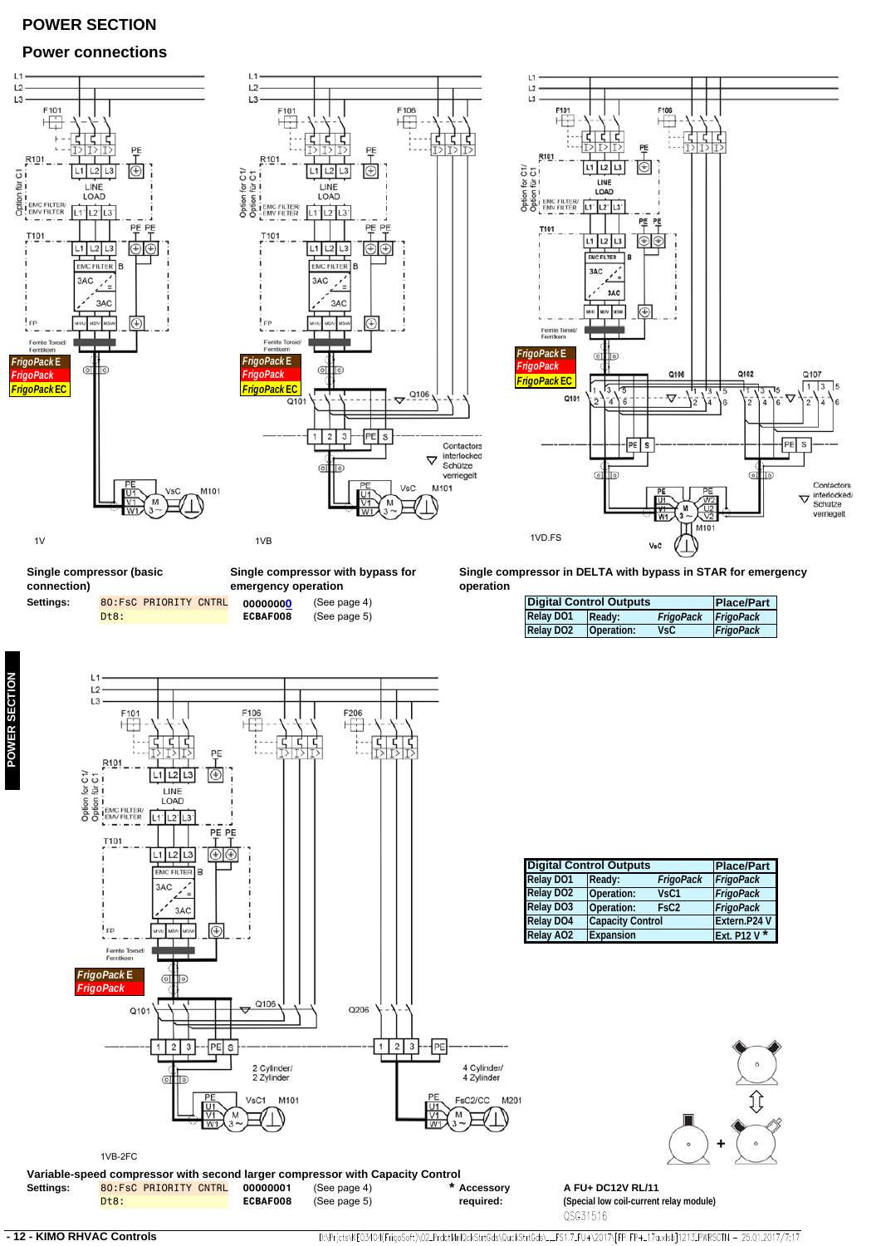# **POWER SECTION**

### **Power connections**



80:FsC PRIORITY CNTRL **00000001** (See page 4) **Settings: \* ECBAF008** (See page 5) **Variable-speed compressor with second larger compressor with Capacity Control**<br>Settings: 80:FsC PRIORITY CNTRL 00000001 (See page 4) **Accessory required:** Dt8:

**A FU+ DC12V RL/11 (Special low coil-current relay module)** QSG31516

D:\Prjcts\KE03404(FrigoSoft)\02.PrdctMnlQckStrtGds\QuckStrtGds\...FS1.7.FU+\2017\[FP FP+\_17a.xlsb]1213.PWRSCTN - 25.01.2017/7:17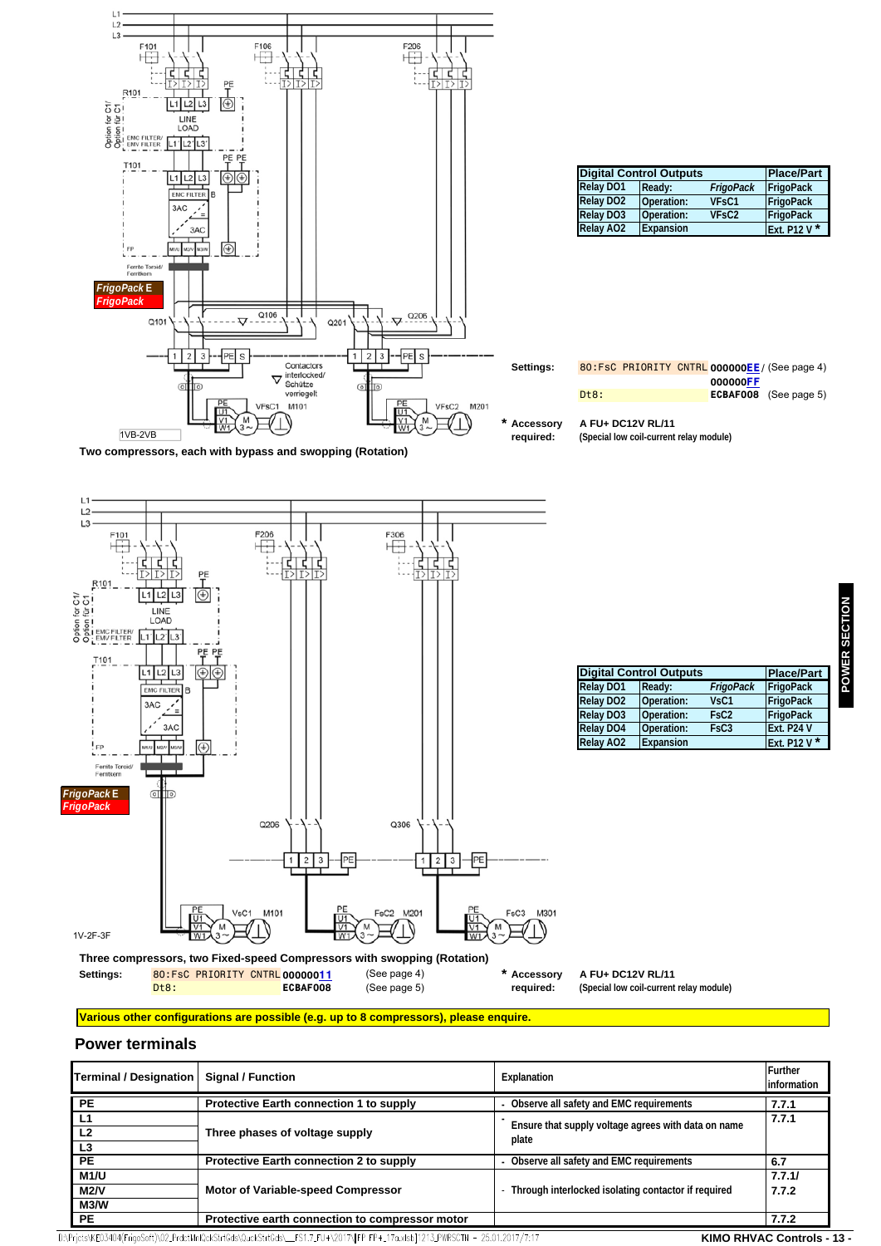

| <b>Digital Control Outputs</b> | <b>Place/Part</b> |                                |              |
|--------------------------------|-------------------|--------------------------------|--------------|
| <b>Relay DO1</b>               | Ready:            | FrigoPack                      | FrigoPack    |
| <b>Relay DO2</b>               | Operation:        | VF <sub>sC1</sub>              | FrigoPack    |
| <b>Relay DO3</b>               | Operation:        | VF <sub>S</sub> C <sub>2</sub> | FrigoPack    |
| <b>Relay AO2</b>               | Expansion         |                                | Ext. P12 V * |

|      |  |          | 80:FsC PRIORITY CNTRL 000000EE / (See page 4) |
|------|--|----------|-----------------------------------------------|
|      |  | 000000FF |                                               |
| Dt8: |  |          | ECBAF008 (See page 5)                         |
|      |  |          |                                               |

**A FU+ DC12V RL/11 (Special low coil-current relay module)**





#### **Various other configurations are possible (e.g. up to 8 compressors), please enquire.**

#### **Power terminals**

|                                                 | Explanation                                                                                                            | Further<br>information                          |
|-------------------------------------------------|------------------------------------------------------------------------------------------------------------------------|-------------------------------------------------|
| Protective Earth connection 1 to supply         | Observe all safety and EMC requirements                                                                                | 7.7.1                                           |
| Three phases of voltage supply                  | Ensure that supply voltage agrees with data on name<br>plate                                                           | 7.7.1                                           |
| Protective Earth connection 2 to supply         | - Observe all safety and EMC requirements                                                                              | 6.7                                             |
| Motor of Variable-speed Compressor              | Through interlocked isolating contactor if required                                                                    | 7.7.1/<br>7.7.2                                 |
| Protective earth connection to compressor motor |                                                                                                                        | 7.7.2                                           |
|                                                 | Detata REOZAO A (Educada NO2, DedatMaDOsLOFAQUA) O La CHAQUA — EC1, 7 EU (A2017) EED, ED ( - 17a Julai 1121Z, DWDCOTN) | 05.01.0017/7-17<br><b>IZIMIO DUBIAO Osmanda</b> |

D:\Prjcts\KE03404(FrigoSoft)\02\_PrdctMnlQckStrtGds\QuckStrtGds\\_\_FS1.7\_FU+\2017\[FP\_FP+\_17a.xlsb]1213\_PWRSCTN - 25.01.2017/7:17

### **KIMO RHVAC Controls - 13 -**

**POWER SECTION** POWER SECTION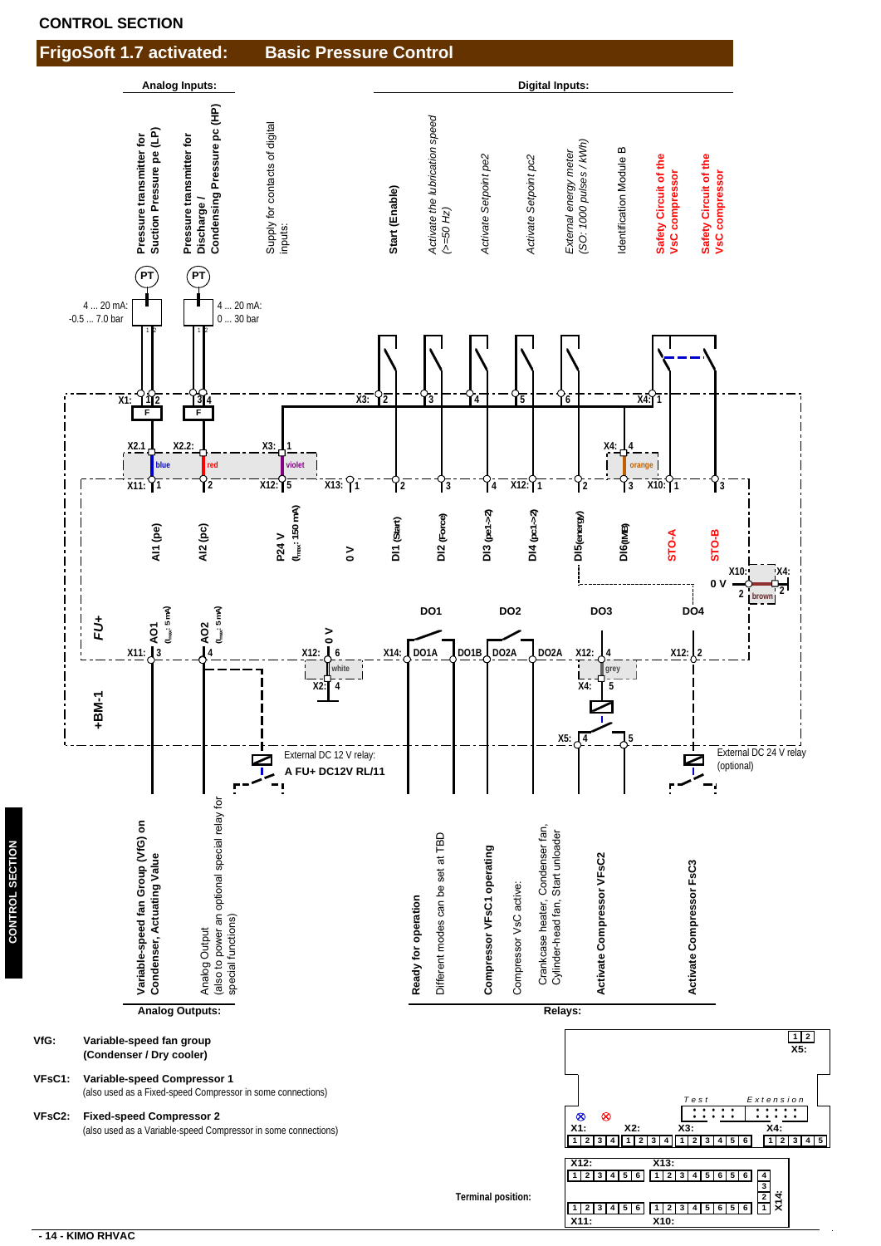



**CONTROL SECTION CONTROL SECTION**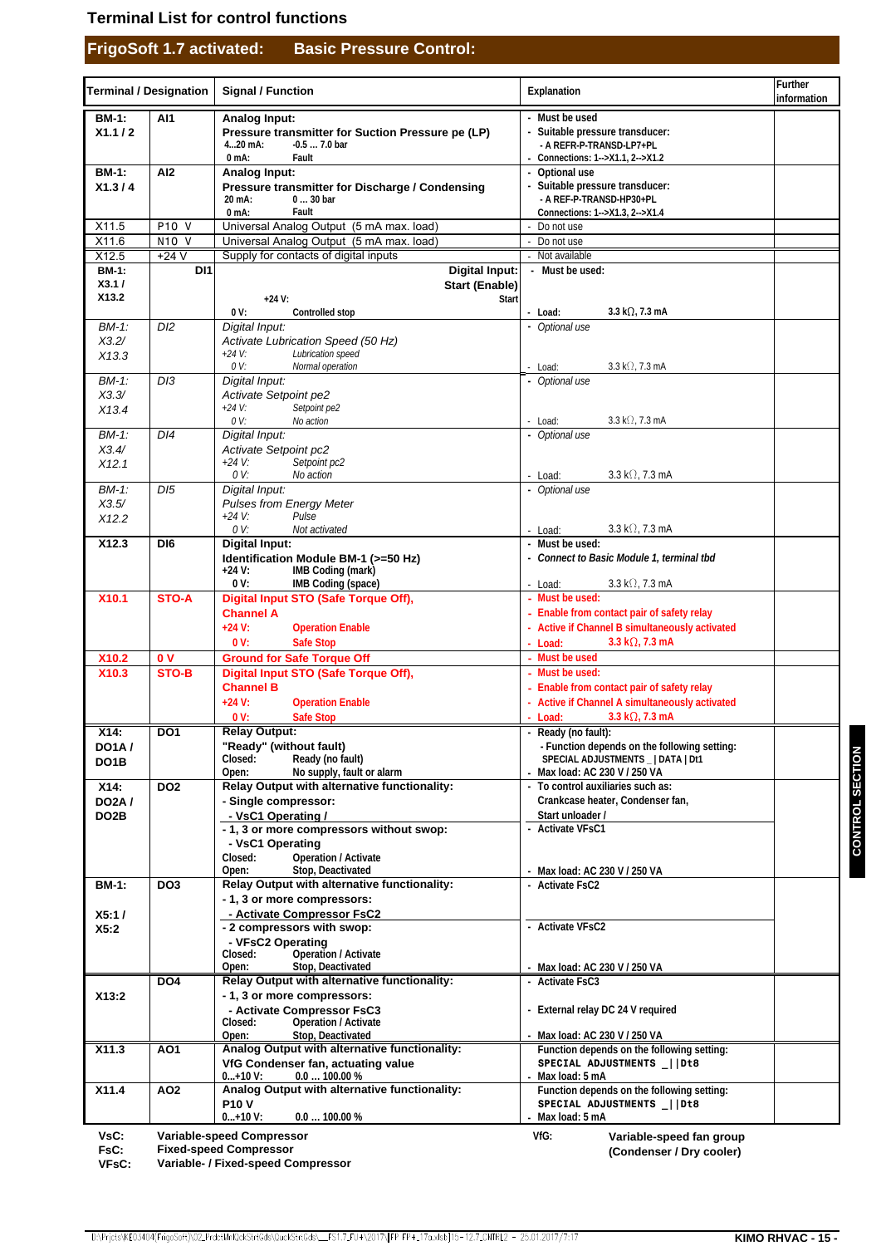### **Terminal List for control functions**

# **FrigoSoft 1.7 activated: Basic Pressure Control:**

|                                           | <b>Terminal / Designation</b> | <b>Signal / Function</b>                                                                                                             | Explanation                                                                                                                            | Further<br>information |
|-------------------------------------------|-------------------------------|--------------------------------------------------------------------------------------------------------------------------------------|----------------------------------------------------------------------------------------------------------------------------------------|------------------------|
| <b>BM-1:</b><br>X1.1 / 2                  | Al1                           | Analog Input:<br>Pressure transmitter for Suction Pressure pe (LP)<br>$420$ mA:<br>$-0.57.0$ bar<br>Fault<br>$0mA$ :                 | - Must be used<br>- Suitable pressure transducer:<br>- A REFR-P-TRANSD-LP7+PL<br>Connections: 1-->X1.1, 2-->X1.2                       |                        |
| <b>BM-1:</b><br>X1.3/4                    | Al <sub>2</sub>               | <b>Analog Input:</b><br>Pressure transmitter for Discharge / Condensing<br>20 mA:<br>$030$ bar<br>$0$ mA:<br>Fault                   | - Optional use<br>- Suitable pressure transducer:<br>- A REF-P-TRANSD-HP30+PL<br>Connections: 1-->X1.3, 2-->X1.4                       |                        |
| X11.5                                     | P10 V                         | Universal Analog Output (5 mA max. load)                                                                                             | Do not use                                                                                                                             |                        |
| X11.6                                     | <b>N10 V</b>                  | Universal Analog Output (5 mA max. load)                                                                                             | - Do not use                                                                                                                           |                        |
| X12.5<br><b>BM-1:</b>                     | $+24V$<br>DI <sub>1</sub>     | Supply for contacts of digital inputs<br><b>Digital Input:</b>                                                                       | - Not available<br>- Must be used:                                                                                                     |                        |
| X3.1/<br>X13.2                            |                               | <b>Start (Enable)</b><br>Start<br>$+24 V:$                                                                                           |                                                                                                                                        |                        |
| $BM-1$ :                                  | D <sub>12</sub>               | Controlled stop<br>0 V:<br>Digital Input:                                                                                            | 3.3 k $\Omega$ , 7.3 mA<br>- Load:<br>- Optional use                                                                                   |                        |
| X3.2/<br>X13.3                            |                               | Activate Lubrication Speed (50 Hz)<br>Lubrication speed<br>$+24 V:$                                                                  |                                                                                                                                        |                        |
| $BM-1$ :                                  | D/3                           | 0 V:<br>Normal operation<br>Digital Input:                                                                                           | $3.3 \text{ k}\Omega$ , 7.3 mA<br>- Load:<br>- Optional use                                                                            |                        |
| X3.3/<br>X13.4                            |                               | Activate Setpoint pe2<br>$+24 V:$<br>Setpoint pe2<br>0 V:<br>No action                                                               | $3.3 \text{ k}\Omega$ , 7.3 mA<br>- Load:                                                                                              |                        |
| BM-1:                                     | DI4                           | Digital Input:                                                                                                                       | - Optional use                                                                                                                         |                        |
| X3.4/<br>X12.1                            |                               | Activate Setpoint pc2<br>$+24 V:$<br>Setpoint pc2<br>0 V:<br>No action                                                               | $3.3 \text{ k}\Omega$ , 7.3 mA<br>Load:                                                                                                |                        |
| $BM-1$ :                                  | DI5                           | Digital Input:                                                                                                                       | - Optional use                                                                                                                         |                        |
| X3.5/<br>X12.2                            |                               | Pulses from Energy Meter<br>Pulse<br>$+24 V:$                                                                                        |                                                                                                                                        |                        |
| X <sub>12.3</sub>                         | DI <sub>6</sub>               | 0 V:<br>Not activated<br><b>Digital Input:</b>                                                                                       | $3.3 \text{ k}\Omega$ , 7.3 mA<br>- Load:<br>- Must be used:                                                                           |                        |
|                                           |                               | Identification Module BM-1 (>=50 Hz)<br>IMB Coding (mark)<br>$+24$ V:                                                                | - Connect to Basic Module 1, terminal tbd                                                                                              |                        |
| X10.1                                     | <b>STO-A</b>                  | 0V:<br>IMB Coding (space)<br>Digital Input STO (Safe Torque Off),                                                                    | $3.3 \text{ k}\Omega$ , 7.3 mA<br>- Load:<br>- Must be used:                                                                           |                        |
|                                           |                               | <b>Channel A</b><br>$+24 V:$<br><b>Operation Enable</b>                                                                              | - Enable from contact pair of safety relay<br>- Active if Channel B simultaneously activated                                           |                        |
|                                           |                               | 0V:<br><b>Safe Stop</b>                                                                                                              | 3.3 k $\Omega$ , 7.3 mA<br>- Load:                                                                                                     |                        |
| X10.2                                     | 0 <sub>V</sub>                | <b>Ground for Safe Torque Off</b>                                                                                                    | - Must be used                                                                                                                         |                        |
| X10.3                                     | STO-B                         | Digital Input STO (Safe Torque Off),<br><b>Channel B</b><br>$+24 V:$<br><b>Operation Enable</b>                                      | - Must be used:<br>- Enable from contact pair of safety relay<br>- Active if Channel A simultaneously activated                        |                        |
|                                           |                               | 0 <sup>0</sup><br><b>Safe Stop</b><br><b>Relay Output:</b>                                                                           | 3.3 k $\Omega$ , 7.3 mA<br>- Load:                                                                                                     |                        |
| X14:<br><b>DO1A/</b><br>DO <sub>1</sub> B | DO <sub>1</sub>               | "Ready" (without fault)<br>Closed:<br>Ready (no fault)<br>No supply, fault or alarm<br>Open:                                         | Ready (no fault):<br>- Function depends on the following setting:<br>SPECIAL ADJUSTMENTS _   DATA   Dt1<br>Max load: AC 230 V / 250 VA |                        |
| X14:<br><b>DO2A/</b>                      | DO <sub>2</sub>               | Relay Output with alternative functionality:<br>- Single compressor:                                                                 | To control auxiliaries such as:<br>Crankcase heater, Condenser fan,                                                                    |                        |
| DO <sub>2</sub> B                         |                               | - VsC1 Operating /                                                                                                                   | Start unloader /                                                                                                                       |                        |
|                                           |                               | - 1, 3 or more compressors without swop:<br>- VsC1 Operating<br>Closed:<br><b>Operation / Activate</b><br>Open:<br>Stop, Deactivated | <b>Activate VFsC1</b><br>Max load: AC 230 V / 250 VA                                                                                   |                        |
| <b>BM-1:</b>                              | DO <sub>3</sub>               | Relay Output with alternative functionality:<br>- 1, 3 or more compressors:                                                          | <b>Activate FsC2</b>                                                                                                                   |                        |
| X5:1/<br>X5:2                             |                               | - Activate Compressor FsC2<br>- 2 compressors with swop:<br>- VFsC2 Operating<br>Operation / Activate<br>Closed:                     | - Activate VFsC2                                                                                                                       |                        |
|                                           |                               | Stop, Deactivated<br>Open:                                                                                                           | Max load: AC 230 V / 250 VA                                                                                                            |                        |
| X13:2                                     | DO4                           | Relay Output with alternative functionality:<br>- 1, 3 or more compressors:<br>- Activate Compressor FsC3                            | <b>Activate FsC3</b><br>External relay DC 24 V required                                                                                |                        |
|                                           |                               | <b>Operation / Activate</b><br>Closed:<br>Stop, Deactivated<br>Open:                                                                 | Max load: AC 230 V / 250 VA                                                                                                            |                        |
| X11.3                                     | AO1                           | Analog Output with alternative functionality:                                                                                        | Function depends on the following setting:                                                                                             |                        |
|                                           |                               | VfG Condenser fan, actuating value<br>$0+10 V:$<br>$0.0100.00\%$                                                                     | SPECIAL ADJUSTMENTS     Dt8<br>Max load: 5 mA                                                                                          |                        |
| X11.4                                     | AO <sub>2</sub>               | Analog Output with alternative functionality:<br><b>P10V</b>                                                                         | Function depends on the following setting:<br>SPECIAL ADJUSTMENTS   Dt8                                                                |                        |
|                                           |                               | $0+10V$ :<br>$0.0100.00\%$                                                                                                           | Max load: 5 mA                                                                                                                         |                        |
| VsC:                                      |                               | <b>Variable-speed Compressor</b>                                                                                                     | VfG:<br>Variable-speed fan group                                                                                                       |                        |

**Variable-speed Compressor**

 **FsC: VFsC: Fixed-speed Compressor Variable- / Fixed-speed Compressor** **(Condenser / Dry cooler)**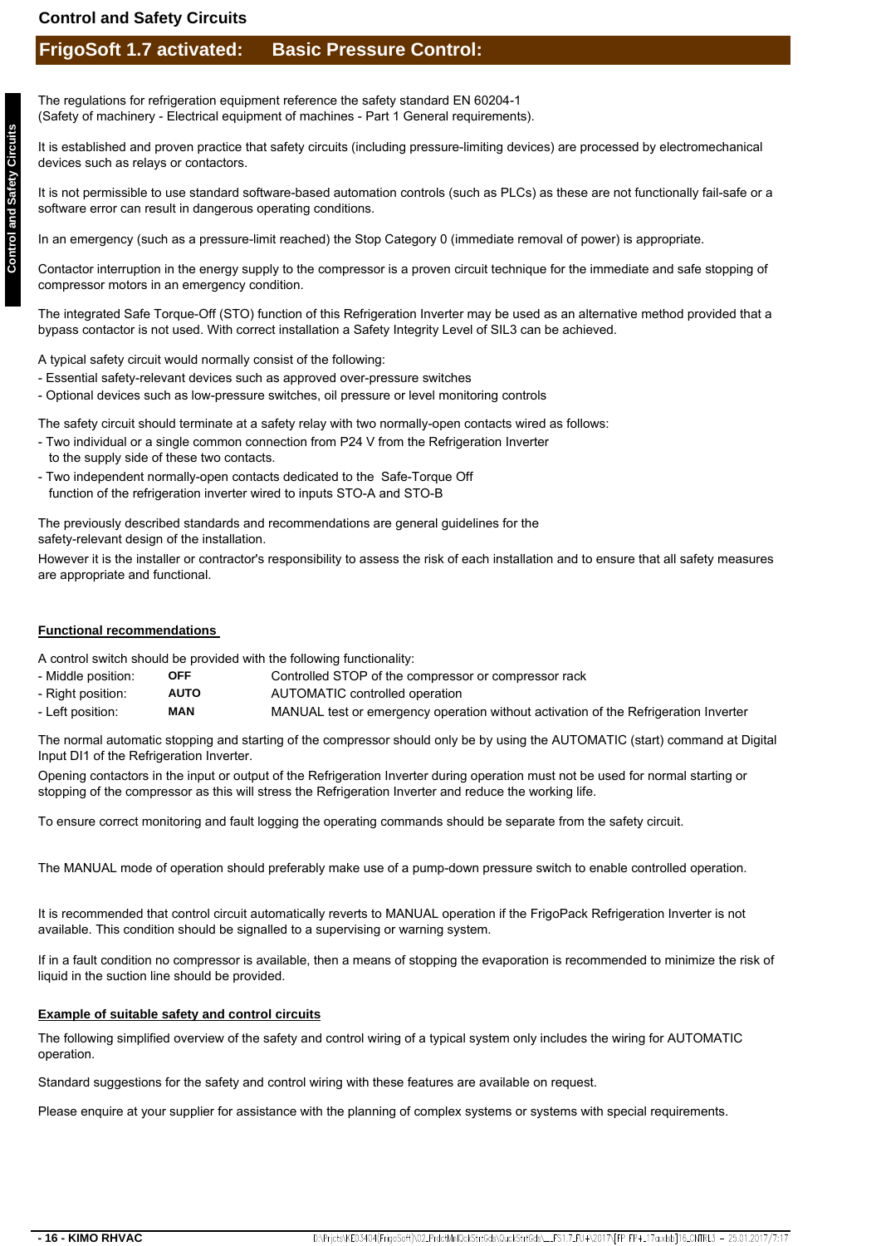### **Control and Safety Circuits**

# **FrigoSoft 1.7 activated: Basic Pressure Control:**

The regulations for refrigeration equipment reference the safety standard EN 60204-1 (Safety of machinery - Electrical equipment of machines - Part 1 General requirements).

It is established and proven practice that safety circuits (including pressure-limiting devices) are processed by electromechanical devices such as relays or contactors.

It is not permissible to use standard software-based automation controls (such as PLCs) as these are not functionally fail-safe or a software error can result in dangerous operating conditions.

In an emergency (such as a pressure-limit reached) the Stop Category 0 (immediate removal of power) is appropriate.

Contactor interruption in the energy supply to the compressor is a proven circuit technique for the immediate and safe stopping of compressor motors in an emergency condition.

The integrated Safe Torque-Off (STO) function of this Refrigeration Inverter may be used as an alternative method provided that a bypass contactor is not used. With correct installation a Safety Integrity Level of SIL3 can be achieved.

A typical safety circuit would normally consist of the following:

- Essential safety-relevant devices such as approved over-pressure switches
- Optional devices such as low-pressure switches, oil pressure or level monitoring controls

The safety circuit should terminate at a safety relay with two normally-open contacts wired as follows:

- Two individual or a single common connection from P24 V from the Refrigeration Inverter to the supply side of these two contacts.
- Two independent normally-open contacts dedicated to the Safe-Torque Off function of the refrigeration inverter wired to inputs STO-A and STO-B

The previously described standards and recommendations are general guidelines for the safety-relevant design of the installation.

However it is the installer or contractor's responsibility to assess the risk of each installation and to ensure that all safety measures are appropriate and functional.

#### **Functional recommendations**

A control switch should be provided with the following functionality:

- Middle position: **OFF** Controlled STOP of the compressor or compressor rack
- Right position: **AUTO** AUTOMATIC controlled operation
- Left position: MANUAL test or emergency operation without activation of the Refrigeration Inverter **MAN**

The normal automatic stopping and starting of the compressor should only be by using the AUTOMATIC (start) command at Digital Input DI1 of the Refrigeration Inverter.

Opening contactors in the input or output of the Refrigeration Inverter during operation must not be used for normal starting or stopping of the compressor as this will stress the Refrigeration Inverter and reduce the working life.

To ensure correct monitoring and fault logging the operating commands should be separate from the safety circuit.

The MANUAL mode of operation should preferably make use of a pump-down pressure switch to enable controlled operation.

It is recommended that control circuit automatically reverts to MANUAL operation if the FrigoPack Refrigeration Inverter is not available. This condition should be signalled to a supervising or warning system.

If in a fault condition no compressor is available, then a means of stopping the evaporation is recommended to minimize the risk of liquid in the suction line should be provided.

#### **Example of suitable safety and control circuits**

The following simplified overview of the safety and control wiring of a typical system only includes the wiring for AUTOMATIC operation.

Standard suggestions for the safety and control wiring with these features are available on request.

Please enquire at your supplier for assistance with the planning of complex systems or systems with special requirements.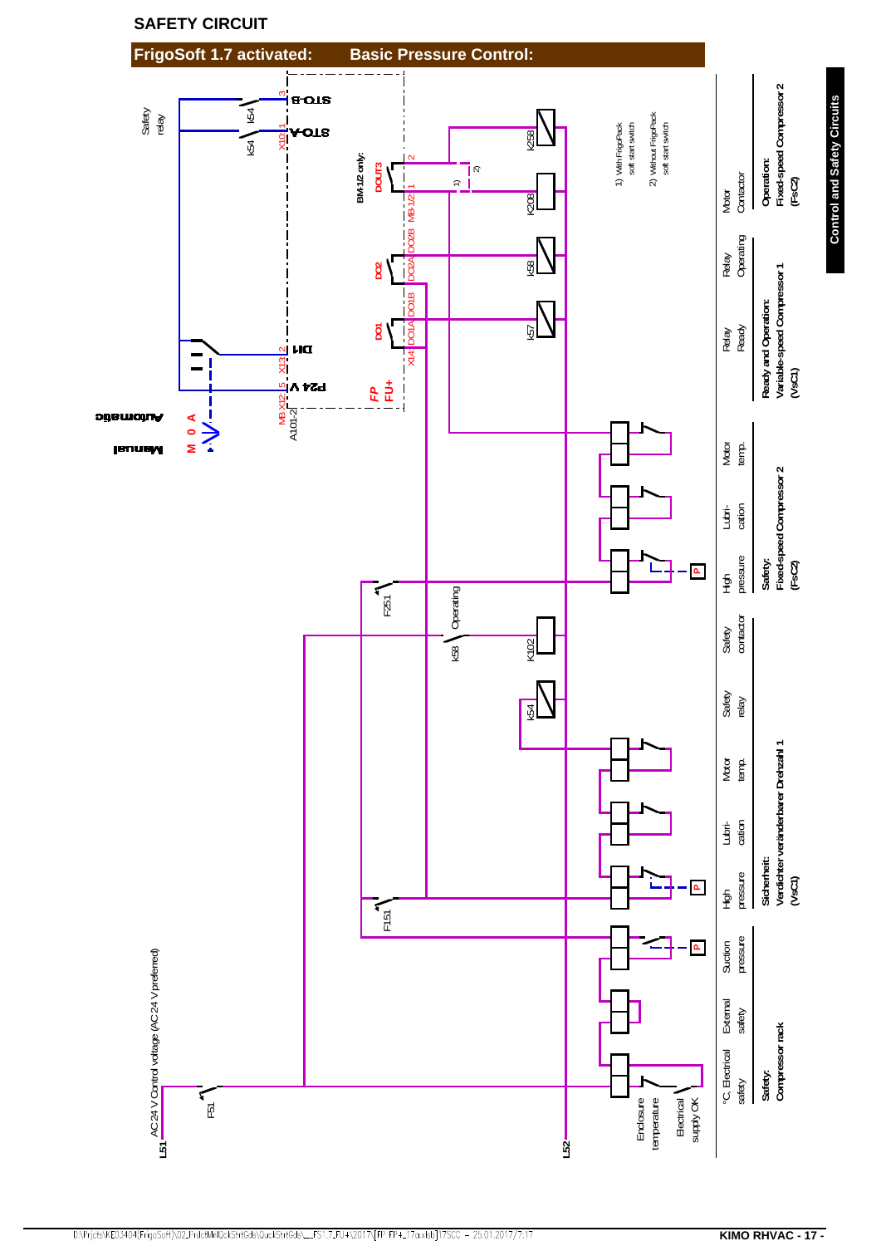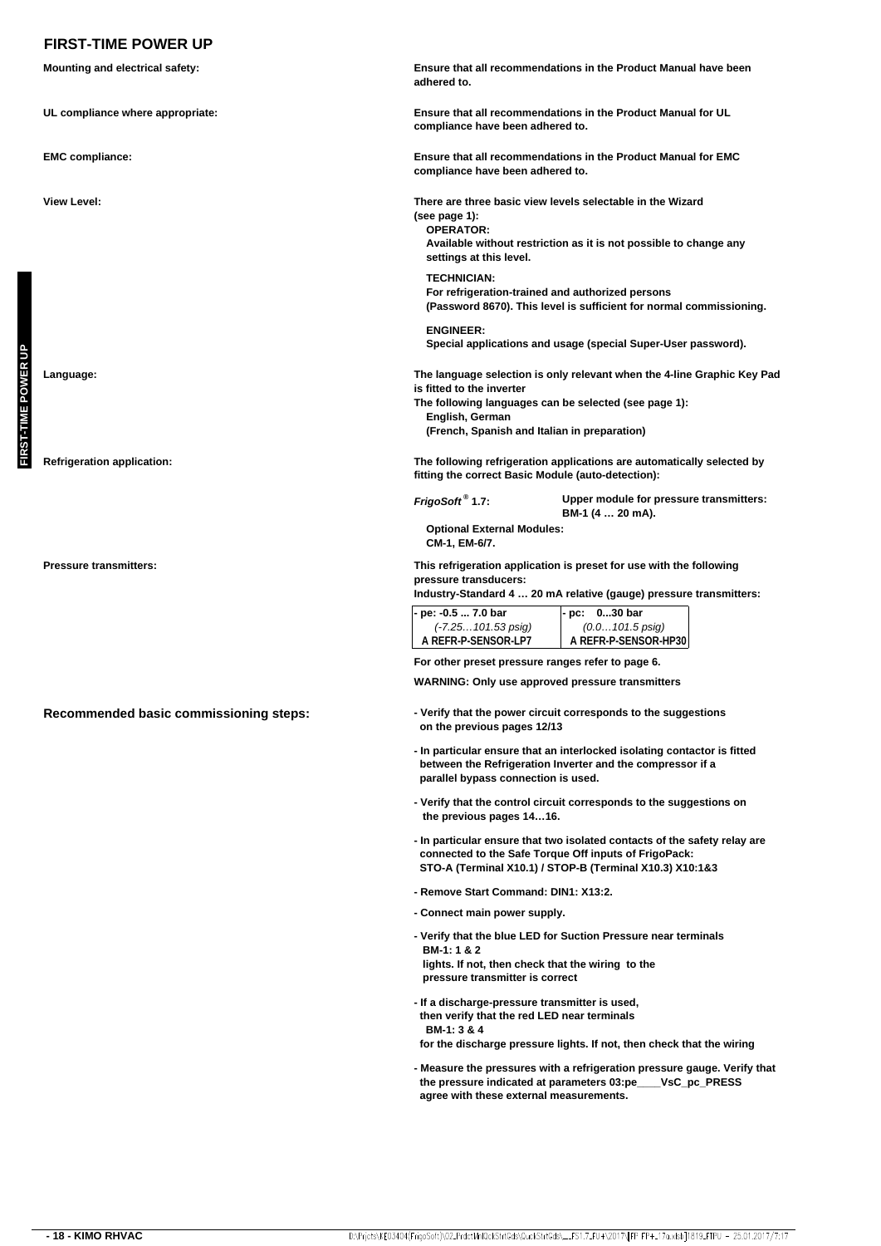## **FIRST-TIME POWER UP**

|                     | <b>Mounting and electrical safety:</b> | adhered to.                                                                                                                                                                                                                      | Ensure that all recommendations in the Product Manual have been                                                                           |  |  |
|---------------------|----------------------------------------|----------------------------------------------------------------------------------------------------------------------------------------------------------------------------------------------------------------------------------|-------------------------------------------------------------------------------------------------------------------------------------------|--|--|
|                     | UL compliance where appropriate:       | Ensure that all recommendations in the Product Manual for UL<br>compliance have been adhered to.<br>Ensure that all recommendations in the Product Manual for EMC<br>compliance have been adhered to.                            |                                                                                                                                           |  |  |
|                     | <b>EMC compliance:</b>                 |                                                                                                                                                                                                                                  |                                                                                                                                           |  |  |
|                     | <b>View Level:</b>                     | (see page 1):<br><b>OPERATOR:</b><br>settings at this level.                                                                                                                                                                     | There are three basic view levels selectable in the Wizard<br>Available without restriction as it is not possible to change any           |  |  |
|                     |                                        | <b>TECHNICIAN:</b><br>For refrigeration-trained and authorized persons<br>(Password 8670). This level is sufficient for normal commissioning.                                                                                    |                                                                                                                                           |  |  |
|                     |                                        | <b>ENGINEER:</b>                                                                                                                                                                                                                 | Special applications and usage (special Super-User password).                                                                             |  |  |
| FIRST-TIME POWER UP | Language:                              | The language selection is only relevant when the 4-line Graphic Key Pad<br>is fitted to the inverter<br>The following languages can be selected (see page 1):<br>English, German<br>(French, Spanish and Italian in preparation) |                                                                                                                                           |  |  |
|                     | <b>Refrigeration application:</b>      | fitting the correct Basic Module (auto-detection):                                                                                                                                                                               | The following refrigeration applications are automatically selected by                                                                    |  |  |
|                     |                                        | FrigoSoft <sup>®</sup> 1.7:                                                                                                                                                                                                      | Upper module for pressure transmitters:<br>BM-1 (4  20 mA).                                                                               |  |  |
|                     |                                        | <b>Optional External Modules:</b><br>CM-1, EM-6/7.                                                                                                                                                                               |                                                                                                                                           |  |  |
|                     | <b>Pressure transmitters:</b>          | pressure transducers:                                                                                                                                                                                                            | This refrigeration application is preset for use with the following<br>Industry-Standard 4  20 mA relative (gauge) pressure transmitters: |  |  |
|                     |                                        | - pe: -0.5  7.0 bar<br>$(-7.25101.53 \text{ psig})$<br>A REFR-P-SENSOR-LP7                                                                                                                                                       | - pc: 030 bar<br>$(0.0101.5 \text{ psig})$<br>A REFR-P-SENSOR-HP30                                                                        |  |  |
|                     |                                        | For other preset pressure ranges refer to page 6.<br><b>WARNING: Only use approved pressure transmitters</b>                                                                                                                     |                                                                                                                                           |  |  |
|                     | Recommended basic commissioning steps: | on the previous pages 12/13                                                                                                                                                                                                      | - Verify that the power circuit corresponds to the suggestions                                                                            |  |  |
|                     |                                        | - In particular ensure that an interlocked isolating contactor is fitted<br>between the Refrigeration Inverter and the compressor if a<br>parallel bypass connection is used.                                                    |                                                                                                                                           |  |  |
|                     |                                        | - Verify that the control circuit corresponds to the suggestions on<br>the previous pages 1416.                                                                                                                                  |                                                                                                                                           |  |  |
|                     |                                        | - In particular ensure that two isolated contacts of the safety relay are<br>connected to the Safe Torque Off inputs of FrigoPack:<br>STO-A (Terminal X10.1) / STOP-B (Terminal X10.3) X10:1&3                                   |                                                                                                                                           |  |  |
|                     |                                        | - Remove Start Command: DIN1: X13:2.                                                                                                                                                                                             |                                                                                                                                           |  |  |
|                     |                                        | - Connect main power supply.                                                                                                                                                                                                     |                                                                                                                                           |  |  |
|                     |                                        | - Verify that the blue LED for Suction Pressure near terminals<br>BM-1:1&2<br>lights. If not, then check that the wiring to the<br>pressure transmitter is correct                                                               |                                                                                                                                           |  |  |
|                     |                                        | - If a discharge-pressure transmitter is used,<br>then verify that the red LED near terminals<br>BM-1: 3 & 4                                                                                                                     | for the discharge pressure lights. If not, then check that the wiring                                                                     |  |  |
|                     |                                        | agree with these external measurements.                                                                                                                                                                                          | - Measure the pressures with a refrigeration pressure gauge. Verify that<br>the pressure indicated at parameters 03:pe___VsC_pc_PRESS     |  |  |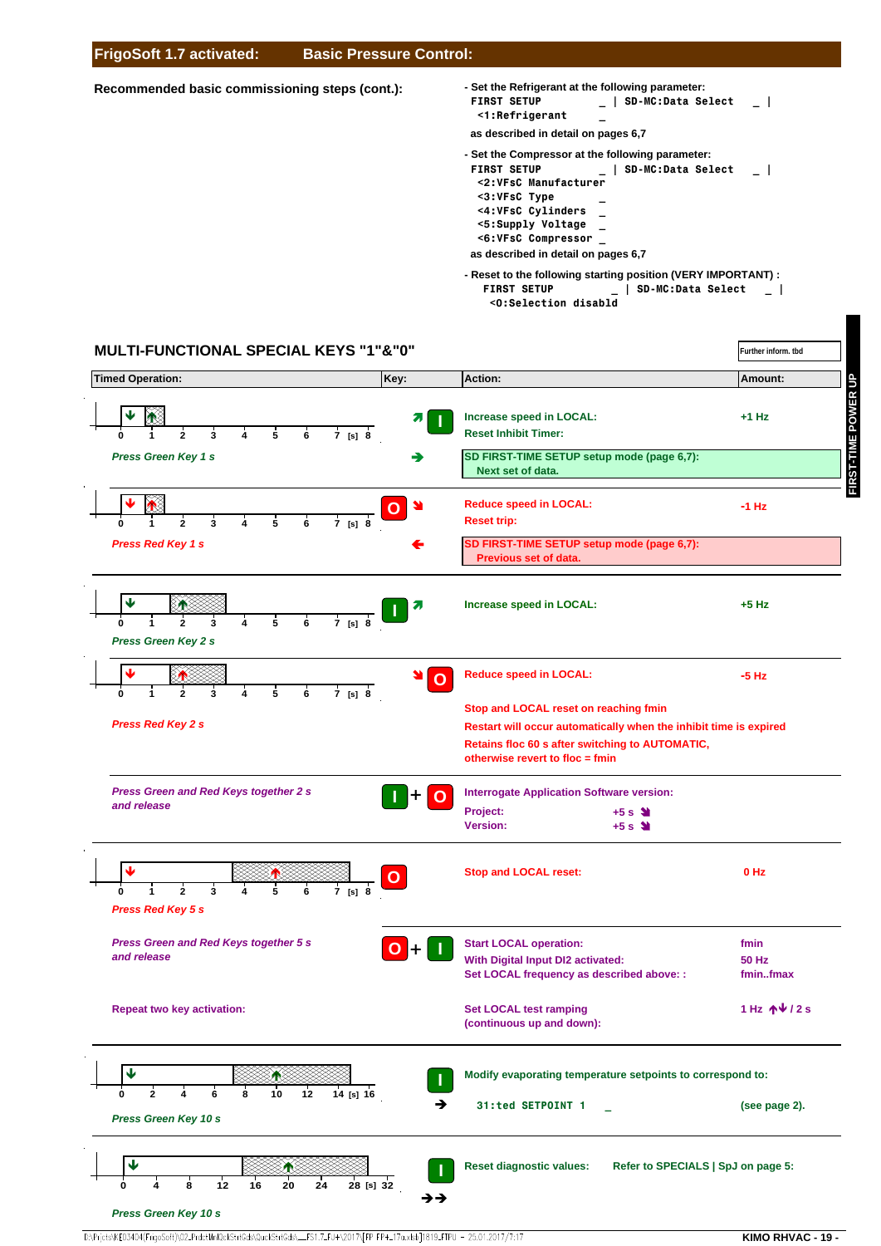#### **FrigoSoft 1.7 activated: Basic Pressure Control:**

#### **Recommended basic commissioning steps (cont.):**

- **Reset to the following starting position (VERY IMPORTANT) : - Set the Refrigerant at the following parameter: FIRST SETUP \_ | SD-MC:Data Select \_ | <1:Refrigerant \_ as described in detail on pages 6,7 - Set the Compressor at the following parameter: FIRST SETUP \_ | SD-MC:Data Select \_ | <2:VFsC Manufacturer <3:VFsC Type \_ <4:VFsC Cylinders \_ <5:Supply Voltage \_ <6:VFsC Compressor \_ as described in detail on pages 6,7**
	- **FIRST SETUP \_ | SD-MC:Data Select \_ | <0:Selection disabld**

**Further inform. tbd**

# **MULTI-FUNCTIONAL SPECIAL KEYS "1"&"0"**



D:\Prjcts\KE03404(FrigoSoft)\02\_PrdctMnlQckStrtGds\QuckStrtGds\\_\_FS1.7\_FU+\2017\[FP FP+\_17a.xlsb]1819\_FTPU - 25.01.2017/7:17